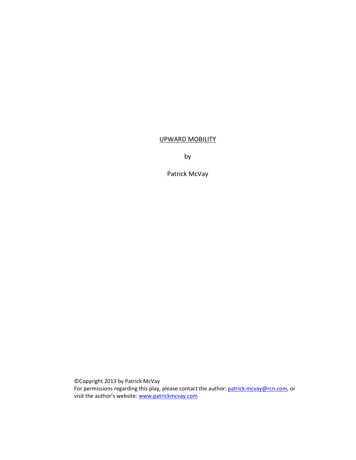# UPWARD MOBILITY

by

Patrick McVay

©Copyright 2013 by Patrick McVay For permissions regarding this play, please contact the author: patrick.mcvay@rcn.com, or visit the author's website: www.patrickmcvay.com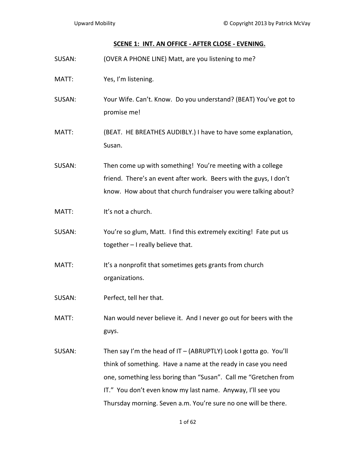### **SCENE 1: INT. AN OFFICE ‐ AFTER CLOSE ‐ EVENING.**

SUSAN: (OVER A PHONE LINE) Matt, are you listening to me? MATT: Yes, I'm listening. SUSAN: Your Wife. Can't. Know. Do you understand? (BEAT) You've got to promise me! MATT: (BEAT. HE BREATHES AUDIBLY.) I have to have some explanation, Susan. SUSAN: Then come up with something! You're meeting with a college friend. There's an event after work. Beers with the guys, I don't know. How about that church fundraiser you were talking about? MATT: It's not a church. SUSAN: You're so glum, Matt. I find this extremely exciting! Fate put us together – I really believe that. MATT: It's a nonprofit that sometimes gets grants from church organizations. SUSAN: Perfect, tell her that. MATT: Nan would never believe it. And I never go out for beers with the guys. SUSAN: Then say I'm the head of IT – (ABRUPTLY) Look I gotta go. You'll think of something. Have a name at the ready in case you need one, something less boring than "Susan". Call me "Gretchen from IT." You don't even know my last name. Anyway, I'll see you Thursday morning. Seven a.m. You're sure no one will be there.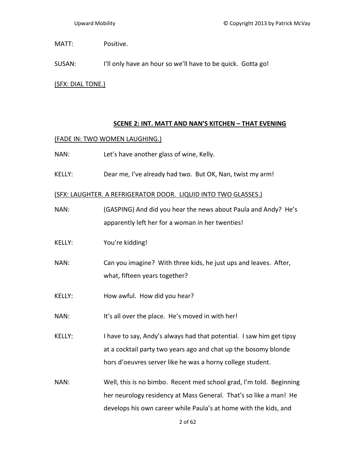MATT: Positive.

SUSAN: I'll only have an hour so we'll have to be quick. Gotta go!

(SFX: DIAL TONE.)

## **SCENE 2: INT. MATT AND NAN'S KITCHEN – THAT EVENING**

## (FADE IN: TWO WOMEN LAUGHING.)

- NAN: Let's have another glass of wine, Kelly.
- KELLY: Dear me, I've already had two. But OK, Nan, twist my arm!

## (SFX: LAUGHTER. A REFRIGERATOR DOOR. LIQUID INTO TWO GLASSES.)

| NAN:          | (GASPING) And did you hear the news about Paula and Andy? He's<br>apparently left her for a woman in her twenties!                                                                                           |
|---------------|--------------------------------------------------------------------------------------------------------------------------------------------------------------------------------------------------------------|
| <b>KELLY:</b> | You're kidding!                                                                                                                                                                                              |
| NAN:          | Can you imagine? With three kids, he just ups and leaves. After,<br>what, fifteen years together?                                                                                                            |
| <b>KELLY:</b> | How awful. How did you hear?                                                                                                                                                                                 |
| NAN:          | It's all over the place. He's moved in with her!                                                                                                                                                             |
| <b>KELLY:</b> | I have to say, Andy's always had that potential. I saw him get tipsy<br>at a cocktail party two years ago and chat up the bosomy blonde<br>hors d'oeuvres server like he was a horny college student.        |
| NAN:          | Well, this is no bimbo. Recent med school grad, I'm told. Beginning<br>her neurology residency at Mass General. That's so like a man! He<br>develops his own career while Paula's at home with the kids, and |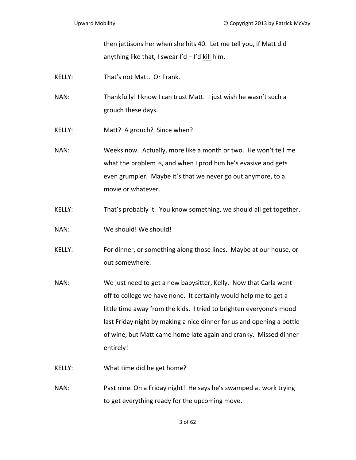then jettisons her when she hits 40. Let me tell you, if Matt did anything like that, I swear I'd  $-$  I'd kill him.

- KELLY: That's not Matt. Or Frank.
- NAN: Thankfully! I know I can trust Matt. I just wish he wasn't such a grouch these days.
- KELLY: Matt? A grouch? Since when?
- NAN: Weeks now. Actually, more like a month or two. He won't tell me what the problem is, and when I prod him he's evasive and gets even grumpier. Maybe it's that we never go out anymore, to a movie or whatever.
- KELLY: That's probably it. You know something, we should all get together.
- NAN: We should! We should!
- KELLY: For dinner, or something along those lines. Maybe at our house, or out somewhere.
- NAN: We just need to get a new babysitter, Kelly. Now that Carla went off to college we have none. It certainly would help me to get a little time away from the kids. I tried to brighten everyone's mood last Friday night by making a nice dinner for us and opening a bottle of wine, but Matt came home late again and cranky. Missed dinner entirely!
- KELLY: What time did he get home?
- NAN: Past nine. On a Friday night! He says he's swamped at work trying to get everything ready for the upcoming move.

3 of 62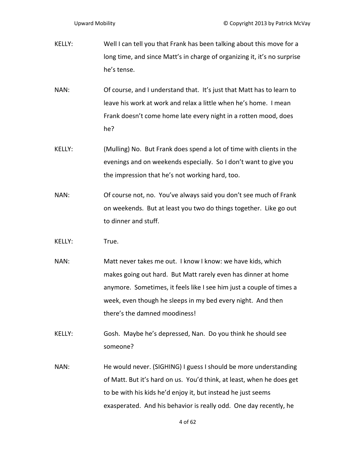KELLY: Well I can tell you that Frank has been talking about this move for a long time, and since Matt's in charge of organizing it, it's no surprise he's tense.

NAN: Of course, and I understand that. It's just that Matt has to learn to leave his work at work and relax a little when he's home. I mean Frank doesn't come home late every night in a rotten mood, does he?

- KELLY: (Mulling) No. But Frank does spend a lot of time with clients in the evenings and on weekends especially. So I don't want to give you the impression that he's not working hard, too.
- NAN: Of course not, no. You've always said you don't see much of Frank on weekends. But at least you two do things together. Like go out to dinner and stuff.
- KELLY: True.
- NAN: Matt never takes me out. I know I know: we have kids, which makes going out hard. But Matt rarely even has dinner at home anymore. Sometimes, it feels like I see him just a couple of times a week, even though he sleeps in my bed every night. And then there's the damned moodiness!
- KELLY: Gosh. Maybe he's depressed, Nan. Do you think he should see someone?
- NAN: He would never. (SIGHING) I guess I should be more understanding of Matt. But it's hard on us. You'd think, at least, when he does get to be with his kids he'd enjoy it, but instead he just seems exasperated. And his behavior is really odd. One day recently, he

4 of 62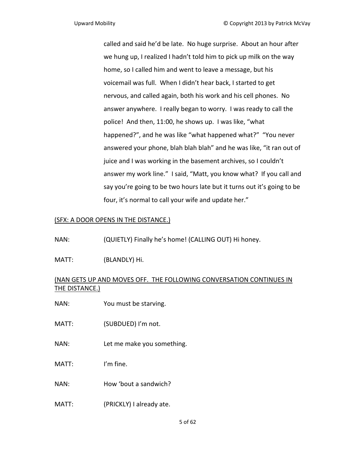called and said he'd be late. No huge surprise. About an hour after we hung up, I realized I hadn't told him to pick up milk on the way home, so I called him and went to leave a message, but his voicemail was full. When I didn't hear back, I started to get nervous, and called again, both his work and his cell phones. No answer anywhere. I really began to worry. I was ready to call the police! And then, 11:00, he shows up. I was like, "what happened?", and he was like "what happened what?" "You never answered your phone, blah blah blah" and he was like, "it ran out of juice and I was working in the basement archives, so I couldn't answer my work line." I said, "Matt, you know what? If you call and say you're going to be two hours late but it turns out it's going to be four, it's normal to call your wife and update her."

# (SFX: A DOOR OPENS IN THE DISTANCE.)

- NAN: (QUIETLY) Finally he's home! (CALLING OUT) Hi honey.
- MATT: (BLANDLY) Hi.

# (NAN GETS UP AND MOVES OFF. THE FOLLOWING CONVERSATION CONTINUES IN THE DISTANCE.)

- NAN: You must be starving.
- MATT: (SUBDUED) I'm not.
- NAN: Let me make you something.
- MATT: I'm fine.
- NAN: How 'bout a sandwich?
- MATT: (PRICKLY) I already ate.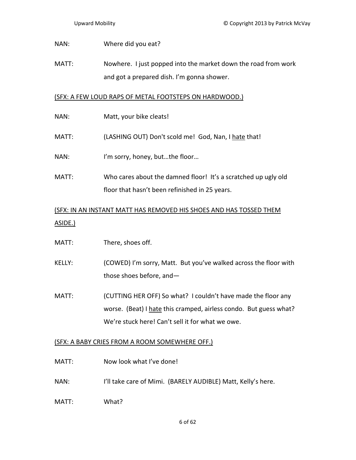## NAN: Where did you eat?

MATT: Nowhere. I just popped into the market down the road from work and got a prepared dish. I'm gonna shower.

## (SFX: A FEW LOUD RAPS OF METAL FOOTSTEPS ON HARDWOOD.)

- NAN: Matt, your bike cleats!
- MATT: (LASHING OUT) Don't scold me! God, Nan, I hate that!
- NAN: I'm sorry, honey, but...the floor...
- MATT: Who cares about the damned floor! It's a scratched up ugly old floor that hasn't been refinished in 25 years.

# (SFX: IN AN INSTANT MATT HAS REMOVED HIS SHOES AND HAS TOSSED THEM ASIDE.)

- MATT: There, shoes off.
- KELLY: (COWED) I'm sorry, Matt. But you've walked across the floor with those shoes before, and—
- MATT: (CUTTING HER OFF) So what? I couldn't have made the floor any worse. (Beat) I hate this cramped, airless condo. But guess what? We're stuck here! Can't sell it for what we owe.

# (SFX: A BABY CRIES FROM A ROOM SOMEWHERE OFF.)

- MATT: Now look what I've done!
- NAN: I'll take care of Mimi. (BARELY AUDIBLE) Matt, Kelly's here.
- MATT: What?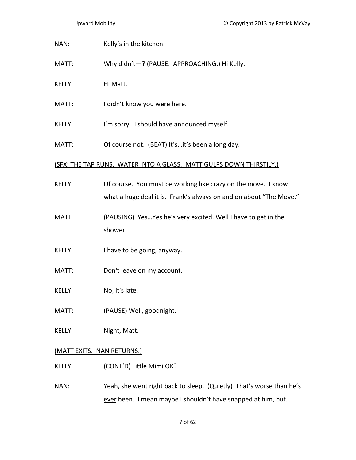NAN: Kelly's in the kitchen.

- MATT: Why didn't—? (PAUSE. APPROACHING.) Hi Kelly.
- KELLY: Hi Matt.
- MATT: I didn't know you were here.
- KELLY: I'm sorry. I should have announced myself.
- MATT: Of course not. (BEAT) It's...it's been a long day.

### (SFX: THE TAP RUNS. WATER INTO A GLASS. MATT GULPS DOWN THIRSTILY.)

- KELLY: Of course. You must be working like crazy on the move. I know what a huge deal it is. Frank's always on and on about "The Move."
- MATT (PAUSING) Yes…Yes he's very excited. Well I have to get in the shower.
- KELLY: I have to be going, anyway.
- MATT: Don't leave on my account.
- KELLY: No, it's late.
- MATT: (PAUSE) Well, goodnight.
- KELLY: Night, Matt.

### (MATT EXITS. NAN RETURNS.)

- KELLY: (CONT'D) Little Mimi OK?
- NAN: Yeah, she went right back to sleep. (Quietly) That's worse than he's ever been. I mean maybe I shouldn't have snapped at him, but...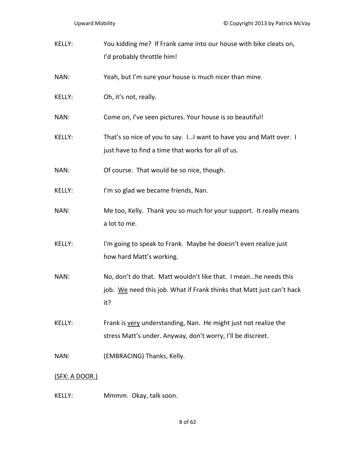| KELLY: | You kidding me? If Frank came into our house with bike cleats on, |
|--------|-------------------------------------------------------------------|
|        | I'd probably throttle him!                                        |

- NAN: Yeah, but I'm sure your house is much nicer than mine.
- KELLY: Oh, it's not, really.

NAN: Come on, I've seen pictures. Your house is so beautiful!

KELLY: That's so nice of you to say. I...I want to have you and Matt over. I just have to find a time that works for all of us.

- NAN: Of course. That would be so nice, though.
- KELLY: I'm so glad we became friends, Nan.
- NAN: Me too, Kelly. Thank you so much for your support. It really means a lot to me.
- KELLY: I'm going to speak to Frank. Maybe he doesn't even realize just how hard Matt's working.
- NAN: No, don't do that. Matt wouldn't like that. I mean...he needs this job. We need this job. What if Frank thinks that Matt just can't hack it?
- KELLY: Frank is very understanding, Nan. He might just not realize the stress Matt's under. Anyway, don't worry, I'll be discreet.
- NAN: (EMBRACING) Thanks, Kelly.

### (SFX: A DOOR.)

KELLY: Mmmm. Okay, talk soon.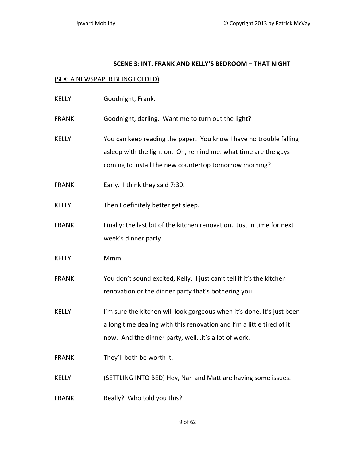### **SCENE 3: INT. FRANK AND KELLY'S BEDROOM – THAT NIGHT**

### (SFX: A NEWSPAPER BEING FOLDED)

KELLY: Goodnight, Frank.

FRANK: Goodnight, darling. Want me to turn out the light?

- KELLY: You can keep reading the paper. You know I have no trouble falling asleep with the light on. Oh, remind me: what time are the guys coming to install the new countertop tomorrow morning?
- FRANK: Early. I think they said 7:30.
- KELLY: Then I definitely better get sleep.
- FRANK: Finally: the last bit of the kitchen renovation. Just in time for next week's dinner party
- KELLY: Mmm.
- FRANK: You don't sound excited, Kelly. I just can't tell if it's the kitchen renovation or the dinner party that's bothering you.
- KELLY: I'm sure the kitchen will look gorgeous when it's done. It's just been a long time dealing with this renovation and I'm a little tired of it now. And the dinner party, well…it's a lot of work.
- FRANK: They'll both be worth it.
- KELLY: (SETTLING INTO BED) Hey, Nan and Matt are having some issues.
- FRANK: Really? Who told you this?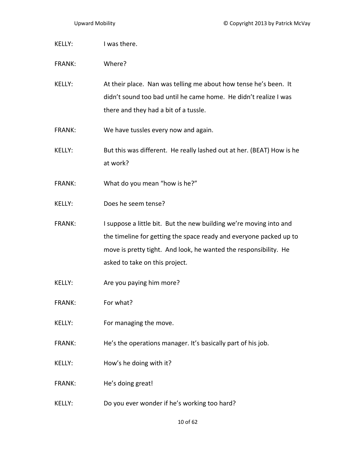KELLY: I was there. FRANK: Where? KELLY: At their place. Nan was telling me about how tense he's been. It didn't sound too bad until he came home. He didn't realize I was there and they had a bit of a tussle. FRANK: We have tussles every now and again. KELLY: But this was different. He really lashed out at her. (BEAT) How is he at work? FRANK: What do you mean "how is he?" KELLY: Does he seem tense? FRANK: I suppose a little bit. But the new building we're moving into and the timeline for getting the space ready and everyone packed up to move is pretty tight. And look, he wanted the responsibility. He asked to take on this project. KELLY: Are you paying him more? FRANK: For what? KELLY: For managing the move. FRANK: He's the operations manager. It's basically part of his job. KELLY: How's he doing with it? FRANK: He's doing great! KELLY: Do you ever wonder if he's working too hard?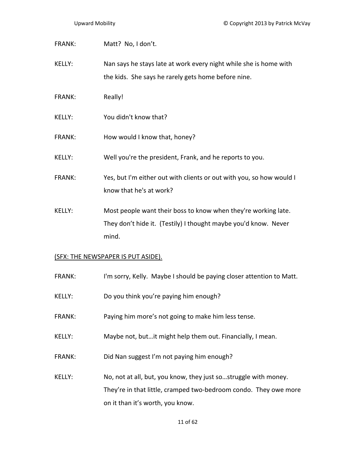FRANK: Matt? No, I don't.

KELLY: Nan says he stays late at work every night while she is home with the kids. She says he rarely gets home before nine.

- FRANK: Really!
- KELLY: You didn't know that?
- FRANK: How would I know that, honey?
- KELLY: Well you're the president, Frank, and he reports to you.
- FRANK: Yes, but I'm either out with clients or out with you, so how would I know that he's at work?
- KELLY: Most people want their boss to know when they're working late. They don't hide it. (Testily) I thought maybe you'd know. Never mind.

### (SFX: THE NEWSPAPER IS PUT ASIDE).

- FRANK: I'm sorry, Kelly. Maybe I should be paying closer attention to Matt.
- KELLY: Do you think you're paying him enough?
- FRANK: Paying him more's not going to make him less tense.
- KELLY: Maybe not, but…it might help them out. Financially, I mean.
- FRANK: Did Nan suggest I'm not paying him enough?
- KELLY: No, not at all, but, you know, they just so…struggle with money. They're in that little, cramped two-bedroom condo. They owe more on it than it's worth, you know.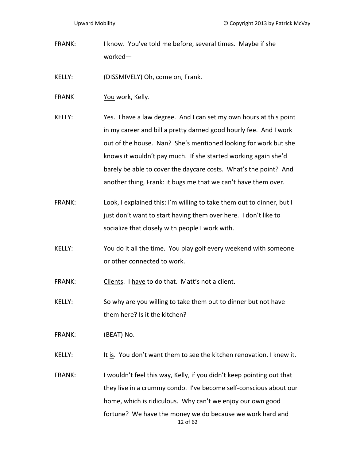- FRANK: I know. You've told me before, several times. Maybe if she worked—
- KELLY: (DISSMIVELY) Oh, come on, Frank.
- FRANK You work, Kelly.
- KELLY: Yes. I have a law degree. And I can set my own hours at this point in my career and bill a pretty darned good hourly fee. And I work out of the house. Nan? She's mentioned looking for work but she knows it wouldn't pay much. If she started working again she'd barely be able to cover the daycare costs. What's the point? And another thing, Frank: it bugs me that we can't have them over.
- FRANK: Look, I explained this: I'm willing to take them out to dinner, but I just don't want to start having them over here. I don't like to socialize that closely with people I work with.
- KELLY: You do it all the time. You play golf every weekend with someone or other connected to work.

FRANK: Clients. I have to do that. Matt's not a client.

- KELLY: So why are you willing to take them out to dinner but not have them here? Is it the kitchen?
- FRANK: (BEAT) No.
- KELLY: It is. You don't want them to see the kitchen renovation. I knew it.
- 12 of 62 FRANK: I wouldn't feel this way, Kelly, if you didn't keep pointing out that they live in a crummy condo. I've become self‐conscious about our home, which is ridiculous. Why can't we enjoy our own good fortune? We have the money we do because we work hard and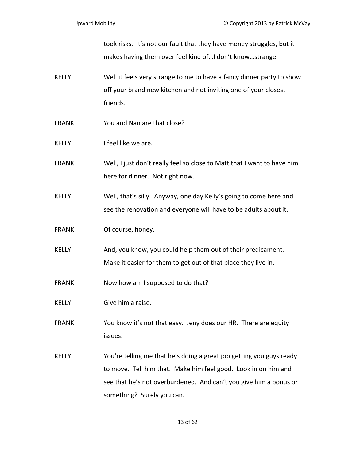took risks. It's not our fault that they have money struggles, but it makes having them over feel kind of... I don't know... strange.

- KELLY: Well it feels very strange to me to have a fancy dinner party to show off your brand new kitchen and not inviting one of your closest friends.
- FRANK: You and Nan are that close?
- KELLY: I feel like we are.
- FRANK: Well, I just don't really feel so close to Matt that I want to have him here for dinner. Not right now.
- KELLY: Well, that's silly. Anyway, one day Kelly's going to come here and see the renovation and everyone will have to be adults about it.
- FRANK: Of course, honey.
- KELLY: And, you know, you could help them out of their predicament. Make it easier for them to get out of that place they live in.
- FRANK: Now how am I supposed to do that?
- KELLY: Give him a raise.
- FRANK: You know it's not that easy. Jeny does our HR. There are equity issues.
- KELLY: You're telling me that he's doing a great job getting you guys ready to move. Tell him that. Make him feel good. Look in on him and see that he's not overburdened. And can't you give him a bonus or something? Surely you can.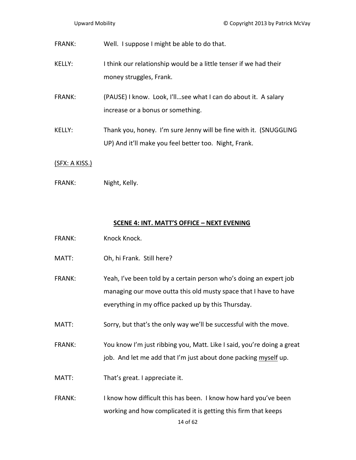| FRANK:        | Well. I suppose I might be able to do that.                                                                                |
|---------------|----------------------------------------------------------------------------------------------------------------------------|
| KELLY:        | I think our relationship would be a little tenser if we had their<br>money struggles, Frank.                               |
| <b>FRANK:</b> | (PAUSE) I know. Look, I'llsee what I can do about it. A salary<br>increase or a bonus or something.                        |
| KELLY:        | Thank you, honey. I'm sure Jenny will be fine with it. (SNUGGLING<br>UP) And it'll make you feel better too. Night, Frank. |

# (SFX: A KISS.)

FRANK: Night, Kelly.

## **SCENE 4: INT. MATT'S OFFICE – NEXT EVENING**

- FRANK: Knock Knock.
- MATT: Oh, hi Frank. Still here?
- FRANK: Yeah, I've been told by a certain person who's doing an expert job managing our move outta this old musty space that I have to have everything in my office packed up by this Thursday.
- MATT: Sorry, but that's the only way we'll be successful with the move.
- FRANK: You know I'm just ribbing you, Matt. Like I said, you're doing a great job. And let me add that I'm just about done packing myself up.
- MATT: That's great. I appreciate it.
- FRANK: I know how difficult this has been. I know how hard you've been working and how complicated it is getting this firm that keeps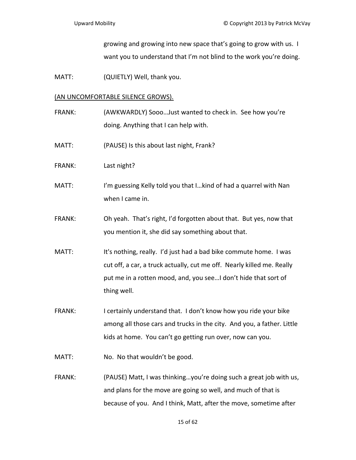growing and growing into new space that's going to grow with us. I want you to understand that I'm not blind to the work you're doing.

MATT: (QUIETLY) Well, thank you.

### (AN UNCOMFORTABLE SILENCE GROWS).

FRANK: (AWKWARDLY) Sooo…Just wanted to check in. See how you're doing. Anything that I can help with.

- MATT: (PAUSE) Is this about last night, Frank?
- FRANK: Last night?
- MATT: I'm guessing Kelly told you that I...kind of had a quarrel with Nan when I came in.
- FRANK: Oh yeah. That's right, I'd forgotten about that. But yes, now that you mention it, she did say something about that.
- MATT: It's nothing, really. I'd just had a bad bike commute home. I was cut off, a car, a truck actually, cut me off. Nearly killed me. Really put me in a rotten mood, and, you see…I don't hide that sort of thing well.
- FRANK: I certainly understand that. I don't know how you ride your bike among all those cars and trucks in the city. And you, a father. Little kids at home. You can't go getting run over, now can you.

MATT: No. No that wouldn't be good.

FRANK: (PAUSE) Matt, I was thinking…you're doing such a great job with us, and plans for the move are going so well, and much of that is because of you. And I think, Matt, after the move, sometime after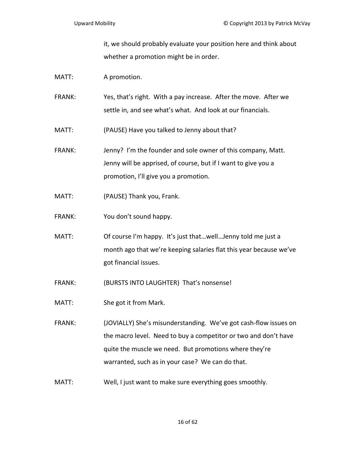it, we should probably evaluate your position here and think about whether a promotion might be in order.

- MATT: A promotion.
- FRANK: Yes, that's right. With a pay increase. After the move. After we settle in, and see what's what. And look at our financials.
- MATT: (PAUSE) Have you talked to Jenny about that?
- FRANK: Jenny? I'm the founder and sole owner of this company, Matt. Jenny will be apprised, of course, but if I want to give you a promotion, I'll give you a promotion.
- MATT: (PAUSE) Thank you, Frank.
- FRANK: You don't sound happy.
- MATT: Of course I'm happy. It's just that...well...Jenny told me just a month ago that we're keeping salaries flat this year because we've got financial issues.
- FRANK: (BURSTS INTO LAUGHTER) That's nonsense!
- MATT: She got it from Mark.
- FRANK: (JOVIALLY) She's misunderstanding. We've got cash‐flow issues on the macro level. Need to buy a competitor or two and don't have quite the muscle we need. But promotions where they're warranted, such as in your case? We can do that.
- MATT: Well, I just want to make sure everything goes smoothly.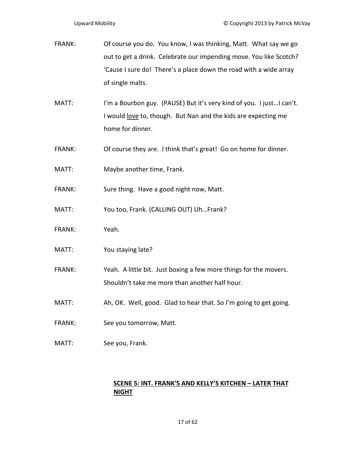- FRANK: Of course you do. You know, I was thinking, Matt. What say we go out to get a drink. Celebrate our impending move. You like Scotch? 'Cause I sure do! There's a place down the road with a wide array of single malts.
- MATT: I'm a Bourbon guy. (PAUSE) But it's very kind of you. I just...I can't. I would love to, though. But Nan and the kids are expecting me home for dinner.
- FRANK: Of course they are. I think that's great! Go on home for dinner.
- MATT: Maybe another time, Frank.
- FRANK: Sure thing. Have a good night now, Matt.
- MATT: You too, Frank. (CALLING OUT) Uh…Frank?
- FRANK: Yeah.
- MATT: You staying late?
- FRANK: Yeah. A little bit. Just boxing a few more things for the movers. Shouldn't take me more than another half hour.
- MATT: Ah, OK. Well, good. Glad to hear that. So I'm going to get going.
- FRANK: See you tomorrow, Matt.
- MATT: See you, Frank.

# **SCENE 5: INT. FRANK'S AND KELLY'S KITCHEN – LATER THAT NIGHT**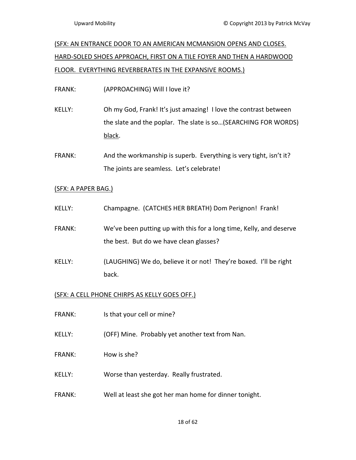# (SFX: AN ENTRANCE DOOR TO AN AMERICAN MCMANSION OPENS AND CLOSES. HARD‐SOLED SHOES APPROACH, FIRST ON A TILE FOYER AND THEN A HARDWOOD FLOOR. EVERYTHING REVERBERATES IN THE EXPANSIVE ROOMS.)

FRANK: (APPROACHING) Will I love it?

- KELLY: Oh my God, Frank! It's just amazing! I love the contrast between the slate and the poplar. The slate is so…(SEARCHING FOR WORDS) black.
- FRANK: And the workmanship is superb. Everything is very tight, isn't it? The joints are seamless. Let's celebrate!

# (SFX: A PAPER BAG.)

- KELLY: Champagne. (CATCHES HER BREATH) Dom Perignon! Frank!
- FRANK: We've been putting up with this for a long time, Kelly, and deserve the best. But do we have clean glasses?
- KELLY: (LAUGHING) We do, believe it or not! They're boxed. I'll be right back.

# (SFX: A CELL PHONE CHIRPS AS KELLY GOES OFF.)

- FRANK: Is that your cell or mine?
- KELLY: (OFF) Mine. Probably yet another text from Nan.
- FRANK: How is she?
- KELLY: Worse than yesterday. Really frustrated.
- FRANK: Well at least she got her man home for dinner tonight.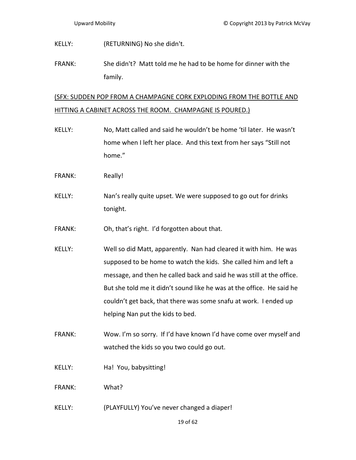KELLY: (RETURNING) No she didn't.

FRANK: She didn't? Matt told me he had to be home for dinner with the family.

# (SFX: SUDDEN POP FROM A CHAMPAGNE CORK EXPLODING FROM THE BOTTLE AND HITTING A CABINET ACROSS THE ROOM. CHAMPAGNE IS POURED.)

- KELLY: No, Matt called and said he wouldn't be home 'til later. He wasn't home when I left her place. And this text from her says "Still not home."
- FRANK: Really!
- KELLY: Nan's really quite upset. We were supposed to go out for drinks tonight.
- FRANK: Oh, that's right. I'd forgotten about that.
- KELLY: Well so did Matt, apparently. Nan had cleared it with him. He was supposed to be home to watch the kids. She called him and left a message, and then he called back and said he was still at the office. But she told me it didn't sound like he was at the office. He said he couldn't get back, that there was some snafu at work. I ended up helping Nan put the kids to bed.
- FRANK: Wow. I'm so sorry. If I'd have known I'd have come over myself and watched the kids so you two could go out.
- KELLY: Ha! You, babysitting!

FRANK: What?

KELLY: (PLAYFULLY) You've never changed a diaper!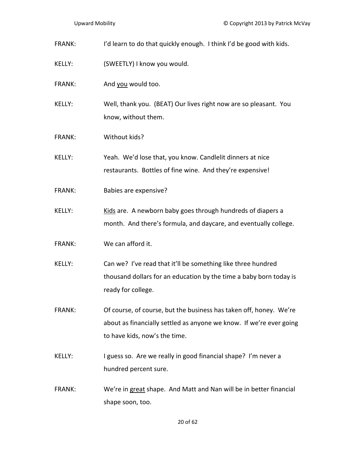- FRANK: I'd learn to do that quickly enough. I think I'd be good with kids.
- KELLY: (SWEETLY) I know you would.
- FRANK: And you would too.
- KELLY: Well, thank you. (BEAT) Our lives right now are so pleasant. You know, without them.
- FRANK: Without kids?

KELLY: Yeah. We'd lose that, you know. Candlelit dinners at nice restaurants. Bottles of fine wine. And they're expensive!

- FRANK: Babies are expensive?
- KELLY: Kids are. A newborn baby goes through hundreds of diapers a month. And there's formula, and daycare, and eventually college.
- FRANK: We can afford it.
- KELLY: Can we? I've read that it'll be something like three hundred thousand dollars for an education by the time a baby born today is ready for college.
- FRANK: Of course, of course, but the business has taken off, honey. We're about as financially settled as anyone we know. If we're ever going to have kids, now's the time.
- KELLY: I guess so. Are we really in good financial shape? I'm never a hundred percent sure.
- FRANK: We're in great shape. And Matt and Nan will be in better financial shape soon, too.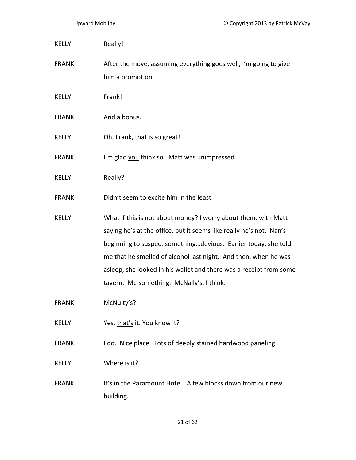| Really!<br>KELLY: |
|-------------------|
|-------------------|

FRANK: After the move, assuming everything goes well, I'm going to give him a promotion.

- KELLY: Frank!
- FRANK: And a bonus.
- KELLY: Oh, Frank, that is so great!

FRANK: I'm glad you think so. Matt was unimpressed.

- KELLY: Really?
- FRANK: Didn't seem to excite him in the least.
- KELLY: What if this is not about money? I worry about them, with Matt saying he's at the office, but it seems like really he's not. Nan's beginning to suspect something…devious. Earlier today, she told me that he smelled of alcohol last night. And then, when he was asleep, she looked in his wallet and there was a receipt from some tavern. Mc‐something. McNally's, I think.
- FRANK: McNulty's?
- KELLY: Yes, that's it. You know it?
- FRANK: I do. Nice place. Lots of deeply stained hardwood paneling.
- KELLY: Where is it?
- FRANK: It's in the Paramount Hotel. A few blocks down from our new building.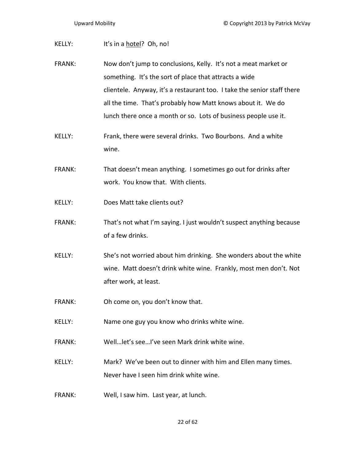KELLY: It's in a hotel? Oh, no! FRANK: Now don't jump to conclusions, Kelly. It's not a meat market or something. It's the sort of place that attracts a wide clientele. Anyway, it's a restaurant too. I take the senior staff there all the time. That's probably how Matt knows about it. We do lunch there once a month or so. Lots of business people use it. KELLY: Frank, there were several drinks. Two Bourbons. And a white wine. FRANK: That doesn't mean anything. I sometimes go out for drinks after work. You know that. With clients.

- KELLY: Does Matt take clients out?
- FRANK: That's not what I'm saying. I just wouldn't suspect anything because of a few drinks.
- KELLY: She's not worried about him drinking. She wonders about the white wine. Matt doesn't drink white wine. Frankly, most men don't. Not after work, at least.
- FRANK: Oh come on, you don't know that.
- KELLY: Name one guy you know who drinks white wine.
- FRANK: Well…let's see…I've seen Mark drink white wine.
- KELLY: Mark? We've been out to dinner with him and Ellen many times. Never have I seen him drink white wine.
- FRANK: Well, I saw him. Last year, at lunch.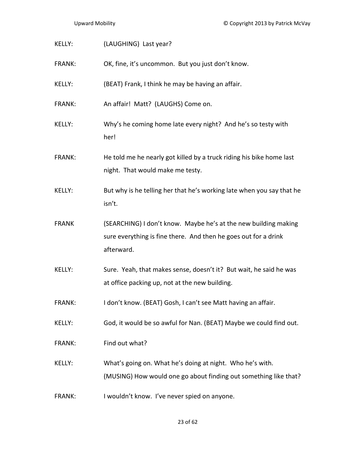| KELLY:        | (LAUGHING) Last year?                                                                                                                            |
|---------------|--------------------------------------------------------------------------------------------------------------------------------------------------|
| FRANK:        | OK, fine, it's uncommon. But you just don't know.                                                                                                |
| KELLY:        | (BEAT) Frank, I think he may be having an affair.                                                                                                |
| FRANK:        | An affair! Matt? (LAUGHS) Come on.                                                                                                               |
| KELLY:        | Why's he coming home late every night? And he's so testy with<br>her!                                                                            |
| <b>FRANK:</b> | He told me he nearly got killed by a truck riding his bike home last<br>night. That would make me testy.                                         |
| KELLY:        | But why is he telling her that he's working late when you say that he<br>isn't.                                                                  |
| <b>FRANK</b>  | (SEARCHING) I don't know. Maybe he's at the new building making<br>sure everything is fine there. And then he goes out for a drink<br>afterward. |
| <b>KELLY:</b> | Sure. Yeah, that makes sense, doesn't it? But wait, he said he was<br>at office packing up, not at the new building.                             |
| FRANK:        | I don't know. (BEAT) Gosh, I can't see Matt having an affair.                                                                                    |
| KELLY:        | God, it would be so awful for Nan. (BEAT) Maybe we could find out.                                                                               |
| FRANK:        | Find out what?                                                                                                                                   |
| KELLY:        | What's going on. What he's doing at night. Who he's with.<br>(MUSING) How would one go about finding out something like that?                    |
| <b>FRANK:</b> | I wouldn't know. I've never spied on anyone.                                                                                                     |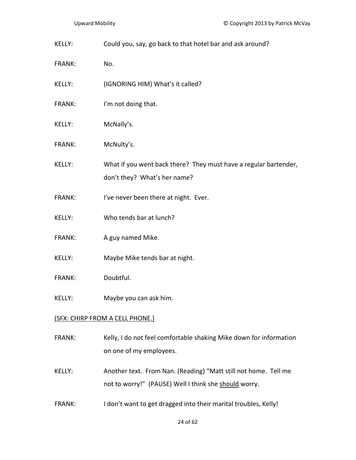KELLY: Could you, say, go back to that hotel bar and ask around?

FRANK: No.

- KELLY: (IGNORING HIM) What's it called?
- FRANK: I'm not doing that.
- KELLY: McNally's.
- FRANK: McNulty's.
- KELLY: What if you went back there? They must have a regular bartender, don't they? What's her name?
- FRANK: I've never been there at night. Ever.
- KELLY: Who tends bar at lunch?
- FRANK: A guy named Mike.
- KELLY: Maybe Mike tends bar at night.
- FRANK: Doubtful.
- KELLY: Maybe you can ask him.

### (SFX: CHIRP FROM A CELL PHONE.)

- FRANK: Kelly, I do not feel comfortable shaking Mike down for information on one of my employees.
- KELLY: Another text. From Nan. (Reading) "Matt still not home. Tell me not to worry!" (PAUSE) Well I think she should worry.
- FRANK: I don't want to get dragged into their marital troubles, Kelly!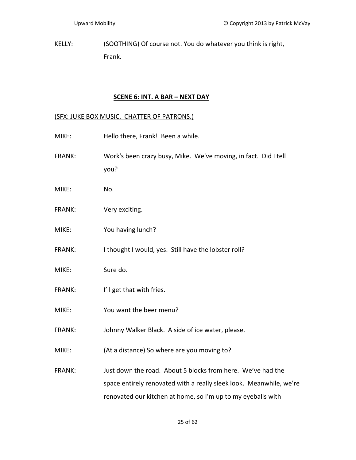KELLY: (SOOTHING) Of course not. You do whatever you think is right, Frank.

# **SCENE 6: INT. A BAR – NEXT DAY**

# (SFX: JUKE BOX MUSIC. CHATTER OF PATRONS.)

| MIKE:         | Hello there, Frank! Been a while.                                                                                                                                                                  |
|---------------|----------------------------------------------------------------------------------------------------------------------------------------------------------------------------------------------------|
| FRANK:        | Work's been crazy busy, Mike. We've moving, in fact. Did I tell<br>you?                                                                                                                            |
| MIKE:         | No.                                                                                                                                                                                                |
| <b>FRANK:</b> | Very exciting.                                                                                                                                                                                     |
| MIKE:         | You having lunch?                                                                                                                                                                                  |
| <b>FRANK:</b> | I thought I would, yes. Still have the lobster roll?                                                                                                                                               |
| MIKE:         | Sure do.                                                                                                                                                                                           |
| <b>FRANK:</b> | I'll get that with fries.                                                                                                                                                                          |
| MIKE:         | You want the beer menu?                                                                                                                                                                            |
| <b>FRANK:</b> | Johnny Walker Black. A side of ice water, please.                                                                                                                                                  |
| MIKE:         | (At a distance) So where are you moving to?                                                                                                                                                        |
| FRANK:        | Just down the road. About 5 blocks from here. We've had the<br>space entirely renovated with a really sleek look. Meanwhile, we're<br>renovated our kitchen at home, so I'm up to my eyeballs with |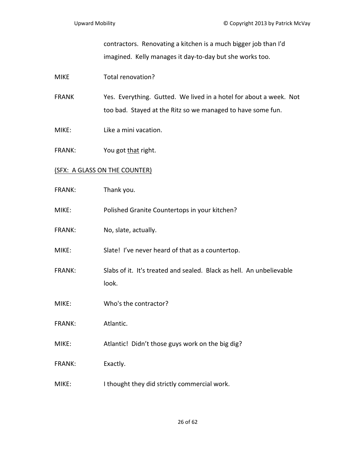contractors. Renovating a kitchen is a much bigger job than I'd imagined. Kelly manages it day‐to‐day but she works too.

## MIKE Total renovation?

FRANK Yes. Everything. Gutted. We lived in a hotel for about a week. Not too bad. Stayed at the Ritz so we managed to have some fun.

- MIKE: Like a mini vacation.
- FRANK: You got that right.

## (SFX: A GLASS ON THE COUNTER)

- FRANK: Thank you.
- MIKE: Polished Granite Countertops in your kitchen?
- FRANK: No, slate, actually.

MIKE: Slate! I've never heard of that as a countertop.

- FRANK: Slabs of it. It's treated and sealed. Black as hell. An unbelievable look.
- MIKE: Who's the contractor?
- FRANK: Atlantic.
- MIKE: Atlantic! Didn't those guys work on the big dig?
- FRANK: Exactly.
- MIKE: I thought they did strictly commercial work.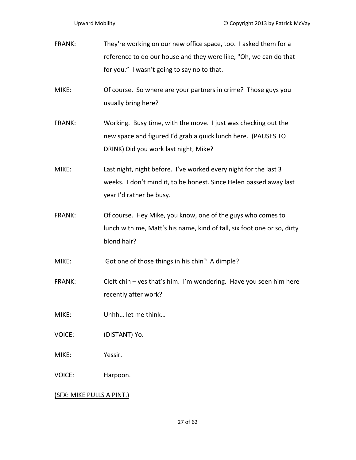FRANK: They're working on our new office space, too. I asked them for a reference to do our house and they were like, "Oh, we can do that for you." I wasn't going to say no to that.

MIKE: Of course. So where are your partners in crime? Those guys you usually bring here?

FRANK: Working. Busy time, with the move. I just was checking out the new space and figured I'd grab a quick lunch here. (PAUSES TO DRINK) Did you work last night, Mike?

MIKE: Last night, night before. I've worked every night for the last 3 weeks. I don't mind it, to be honest. Since Helen passed away last year I'd rather be busy.

FRANK: Of course. Hey Mike, you know, one of the guys who comes to lunch with me, Matt's his name, kind of tall, six foot one or so, dirty blond hair?

MIKE: Got one of those things in his chin? A dimple?

FRANK: Cleft chin – yes that's him. I'm wondering. Have you seen him here recently after work?

MIKE: Uhhh… let me think…

VOICE: (DISTANT) Yo.

MIKE: Yessir.

VOICE: Harpoon.

(SFX: MIKE PULLS A PINT.)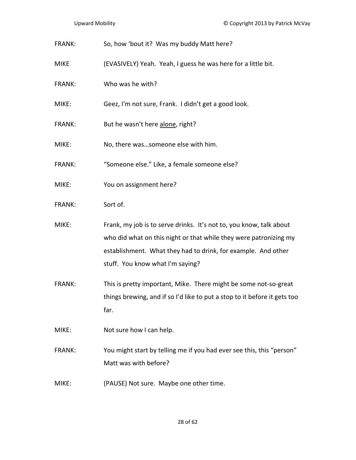- FRANK: So, how 'bout it? Was my buddy Matt here?
- MIKE (EVASIVELY) Yeah. Yeah, I guess he was here for a little bit.
- FRANK: Who was he with?
- MIKE: Geez, I'm not sure, Frank. I didn't get a good look.
- FRANK: But he wasn't here alone, right?
- MIKE: No, there was…someone else with him.
- FRANK: "Someone else." Like, a female someone else?
- MIKE: You on assignment here?
- FRANK: Sort of.
- MIKE: Frank, my job is to serve drinks. It's not to, you know, talk about who did what on this night or that while they were patronizing my establishment. What they had to drink, for example. And other stuff. You know what I'm saying?
- FRANK: This is pretty important, Mike. There might be some not-so-great things brewing, and if so I'd like to put a stop to it before it gets too far.
- MIKE: Not sure how I can help.
- FRANK: You might start by telling me if you had ever see this, this "person" Matt was with before?
- MIKE: (PAUSE) Not sure. Maybe one other time.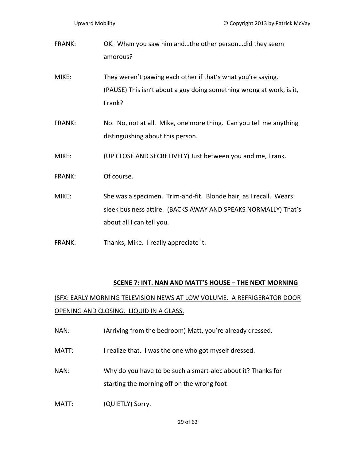FRANK: OK. When you saw him and…the other person…did they seem amorous?

- MIKE: They weren't pawing each other if that's what you're saying. (PAUSE) This isn't about a guy doing something wrong at work, is it, Frank?
- FRANK: No. No, not at all. Mike, one more thing. Can you tell me anything distinguishing about this person.
- MIKE: (UP CLOSE AND SECRETIVELY) Just between you and me, Frank.
- FRANK: Of course.
- MIKE: She was a specimen. Trim-and-fit. Blonde hair, as I recall. Wears sleek business attire. (BACKS AWAY AND SPEAKS NORMALLY) That's about all I can tell you.
- FRANK: Thanks, Mike. I really appreciate it.

### **SCENE 7: INT. NAN AND MATT'S HOUSE – THE NEXT MORNING**

(SFX: EARLY MORNING TELEVISION NEWS AT LOW VOLUME. A REFRIGERATOR DOOR OPENING AND CLOSING. LIQUID IN A GLASS.

- NAN: (Arriving from the bedroom) Matt, you're already dressed.
- MATT: I realize that. I was the one who got myself dressed.
- NAN: Why do you have to be such a smart-alec about it? Thanks for starting the morning off on the wrong foot!
- MATT: (QUIETLY) Sorry.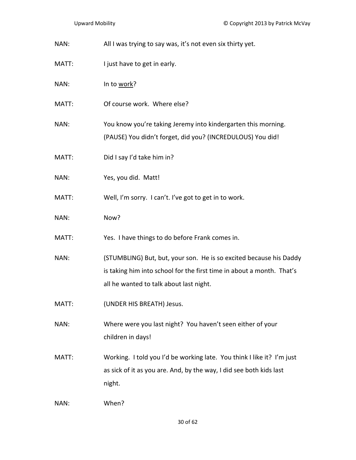NAN: All I was trying to say was, it's not even six thirty yet.

- MATT: I just have to get in early.
- NAN: In to work?
- MATT: Of course work. Where else?
- NAN: You know you're taking Jeremy into kindergarten this morning. (PAUSE) You didn't forget, did you? (INCREDULOUS) You did!
- MATT: Did I say I'd take him in?
- NAN: Yes, you did. Matt!
- MATT: Well, I'm sorry. I can't. I've got to get in to work.
- NAN: Now?
- MATT: Yes. I have things to do before Frank comes in.
- NAN: (STUMBLING) But, but, your son. He is so excited because his Daddy is taking him into school for the first time in about a month. That's all he wanted to talk about last night.
- MATT: (UNDER HIS BREATH) Jesus.
- NAN: Where were you last night? You haven't seen either of your children in days!
- MATT: Working. I told you I'd be working late. You think I like it? I'm just as sick of it as you are. And, by the way, I did see both kids last night.
- NAN: When?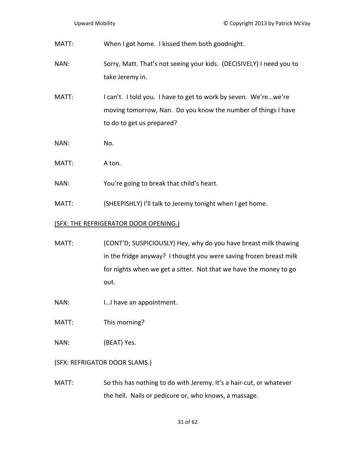| MATT: | When I got home. I kissed them both goodnight.                                                                                                                |
|-------|---------------------------------------------------------------------------------------------------------------------------------------------------------------|
| NAN:  | Sorry, Matt. That's not seeing your kids. (DECISIVELY) I need you to<br>take Jeremy in.                                                                       |
| MATT: | I can't. I told you. I have to get to work by seven. We'rewe're<br>moving tomorrow, Nan. Do you know the number of things I have<br>to do to get us prepared? |
| NAN:  | No.                                                                                                                                                           |
| MATT: | A ton.                                                                                                                                                        |

- NAN: You're going to break that child's heart.
- MATT: (SHEEPISHLY) I'll talk to Jeremy tonight when I get home.

# (SFX: THE REFRIGERATOR DOOR OPENING.)

- MATT: (CONT'D; SUSPICIOUSLY) Hey, why do you have breast milk thawing in the fridge anyway? I thought you were saving frozen breast milk for nights when we get a sitter. Not that we have the money to go out.
- NAN: I...I have an appointment.
- MATT: This morning?
- NAN: (BEAT) Yes.

# (SFX: REFRIGATOR DOOR SLAMS.)

MATT: So this has nothing to do with Jeremy. It's a hair-cut, or whatever the hell. Nails or pedicure or, who knows, a massage.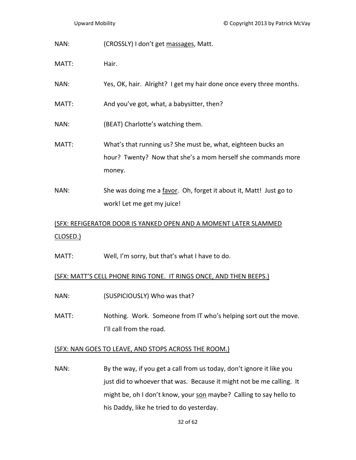NAN: (CROSSLY) I don't get massages, Matt.

MATT: Hair.

- NAN: Yes, OK, hair. Alright? I get my hair done once every three months.
- MATT: MATT: And you've got, what, a babysitter, then?
- NAN: (BEAT) Charlotte's watching them.
- MATT: What's that running us? She must be, what, eighteen bucks an hour? Twenty? Now that she's a mom herself she commands more money.
- NAN: She was doing me a favor. Oh, forget it about it, Matt! Just go to work! Let me get my juice!

# (SFX: REFIGERATOR DOOR IS YANKED OPEN AND A MOMENT LATER SLAMMED CLOSED.)

MATT: Well, I'm sorry, but that's what I have to do.

## (SFX: MATT'S CELL PHONE RING TONE. IT RINGS ONCE, AND THEN BEEPS.)

- NAN: (SUSPICIOUSLY) Who was that?
- MATT: Nothing. Work. Someone from IT who's helping sort out the move. I'll call from the road.

## (SFX: NAN GOES TO LEAVE, AND STOPS ACROSS THE ROOM.)

NAN: By the way, if you get a call from us today, don't ignore it like you just did to whoever that was. Because it might not be me calling. It might be, oh I don't know, your son maybe? Calling to say hello to his Daddy, like he tried to do yesterday.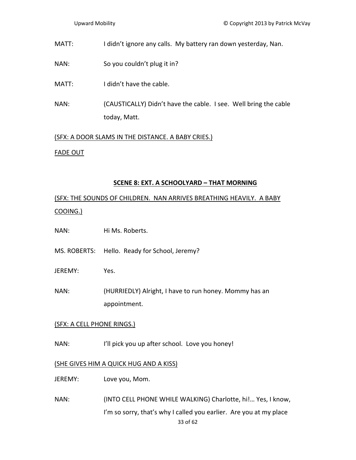- MATT: I didn't ignore any calls. My battery ran down yesterday, Nan.
- NAN: So you couldn't plug it in?
- MATT: I didn't have the cable.
- NAN: (CAUSTICALLY) Didn't have the cable. I see. Well bring the cable today, Matt.

(SFX: A DOOR SLAMS IN THE DISTANCE. A BABY CRIES.) FADE OUT

#### **SCENE 8: EXT. A SCHOOLYARD – THAT MORNING**

(SFX: THE SOUNDS OF CHILDREN. NAN ARRIVES BREATHING HEAVILY. A BABY COOING.)

- NAN: Hi Ms. Roberts.
- MS. ROBERTS: Hello. Ready for School, Jeremy?
- JEREMY: Yes.
- NAN: (HURRIEDLY) Alright, I have to run honey. Mommy has an appointment.

### (SFX: A CELL PHONE RINGS.)

NAN: I'll pick you up after school. Love you honey!

#### (SHE GIVES HIM A QUICK HUG AND A KISS)

- JEREMY: Love you, Mom.
- NAN: (INTO CELL PHONE WHILE WALKING) Charlotte, hi!… Yes, I know, I'm so sorry, that's why I called you earlier. Are you at my place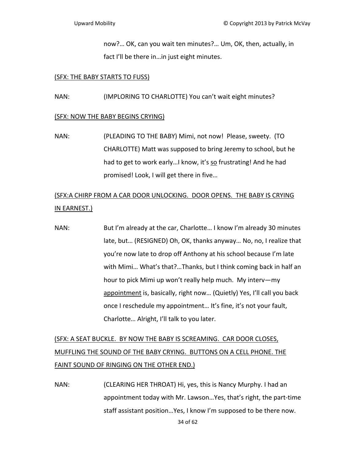now?… OK, can you wait ten minutes?… Um, OK, then, actually, in fact I'll be there in…in just eight minutes.

#### (SFX: THE BABY STARTS TO FUSS)

NAN: (IMPLORING TO CHARLOTTE) You can't wait eight minutes?

### (SFX: NOW THE BABY BEGINS CRYING)

NAN: (PLEADING TO THE BABY) Mimi, not now! Please, sweety. (TO CHARLOTTE) Matt was supposed to bring Jeremy to school, but he had to get to work early...I know, it's so frustrating! And he had promised! Look, I will get there in five…

# (SFX:A CHIRP FROM A CAR DOOR UNLOCKING. DOOR OPENS. THE BABY IS CRYING IN EARNEST.)

NAN: But I'm already at the car, Charlotte… I know I'm already 30 minutes late, but… (RESIGNED) Oh, OK, thanks anyway… No, no, I realize that you're now late to drop off Anthony at his school because I'm late with Mimi… What's that?…Thanks, but I think coming back in half an hour to pick Mimi up won't really help much. My interv—my appointment is, basically, right now… (Quietly) Yes, I'll call you back once I reschedule my appointment… It's fine, it's not your fault, Charlotte… Alright, I'll talk to you later.

# (SFX: A SEAT BUCKLE. BY NOW THE BABY IS SCREAMING. CAR DOOR CLOSES, MUFFLING THE SOUND OF THE BABY CRYING. BUTTONS ON A CELL PHONE. THE FAINT SOUND OF RINGING ON THE OTHER END.)

NAN: (CLEARING HER THROAT) Hi, yes, this is Nancy Murphy. I had an appointment today with Mr. Lawson...Yes, that's right, the part-time staff assistant position…Yes, I know I'm supposed to be there now.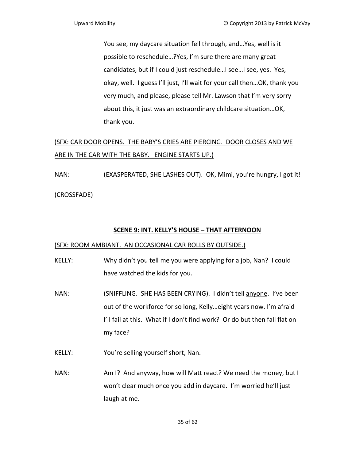You see, my daycare situation fell through, and…Yes, well is it possible to reschedule…?Yes, I'm sure there are many great candidates, but if I could just reschedule…I see…I see, yes. Yes, okay, well. I guess I'll just, I'll wait for your call then…OK, thank you very much, and please, please tell Mr. Lawson that I'm very sorry about this, it just was an extraordinary childcare situation…OK, thank you.

# (SFX: CAR DOOR OPENS. THE BABY'S CRIES ARE PIERCING. DOOR CLOSES AND WE ARE IN THE CAR WITH THE BABY. ENGINE STARTS UP.)

NAN: (EXASPERATED, SHE LASHES OUT). OK, Mimi, you're hungry, I got it! (CROSSFADE)

## **SCENE 9: INT. KELLY'S HOUSE – THAT AFTERNOON**

## (SFX: ROOM AMBIANT. AN OCCASIONAL CAR ROLLS BY OUTSIDE.)

- KELLY: Why didn't you tell me you were applying for a job, Nan? I could have watched the kids for you.
- NAN: (SNIFFLING. SHE HAS BEEN CRYING). I didn't tell anyone. I've been out of the workforce for so long, Kelly…eight years now. I'm afraid I'll fail at this. What if I don't find work? Or do but then fall flat on my face?
- KELLY: You're selling yourself short, Nan.
- NAN: Am I? And anyway, how will Matt react? We need the money, but I won't clear much once you add in daycare. I'm worried he'll just laugh at me.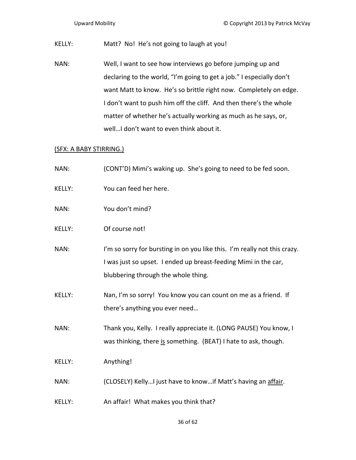KELLY: Matt? No! He's not going to laugh at you!

NAN: Well, I want to see how interviews go before jumping up and declaring to the world, "I'm going to get a job." I especially don't want Matt to know. He's so brittle right now. Completely on edge. I don't want to push him off the cliff. And then there's the whole matter of whether he's actually working as much as he says, or, well…I don't want to even think about it.

### (SFX: A BABY STIRRING.)

| NAN:          | (CONT'D) Mimi's waking up. She's going to need to be fed soon.                                                                                                                      |
|---------------|-------------------------------------------------------------------------------------------------------------------------------------------------------------------------------------|
| KELLY:        | You can feed her here.                                                                                                                                                              |
| NAN:          | You don't mind?                                                                                                                                                                     |
| <b>KELLY:</b> | Of course not!                                                                                                                                                                      |
| NAN:          | I'm so sorry for bursting in on you like this. I'm really not this crazy.<br>I was just so upset. I ended up breast-feeding Mimi in the car,<br>blubbering through the whole thing. |
| <b>KELLY:</b> | Nan, I'm so sorry! You know you can count on me as a friend. If<br>there's anything you ever need                                                                                   |
| NAN:          | Thank you, Kelly. I really appreciate it. (LONG PAUSE) You know, I<br>was thinking, there is something. (BEAT) I hate to ask, though.                                               |
| KELLY:        | Anything!                                                                                                                                                                           |
| NAN:          | (CLOSELY) KellyI just have to knowif Matt's having an affair.                                                                                                                       |
| <b>KELLY:</b> | An affair! What makes you think that?                                                                                                                                               |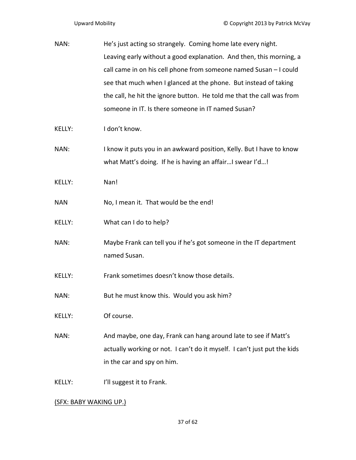| He's just acting so strangely. Coming home late every night.             |
|--------------------------------------------------------------------------|
| Leaving early without a good explanation. And then, this morning, a      |
| call came in on his cell phone from someone named Susan - I could        |
| see that much when I glanced at the phone. But instead of taking         |
| the call, he hit the ignore button. He told me that the call was from    |
| someone in IT. Is there someone in IT named Susan?                       |
| I don't know.                                                            |
| I know it puts you in an awkward position, Kelly. But I have to know     |
| what Matt's doing. If he is having an affairI swear I'd!                 |
| Nan!                                                                     |
| No, I mean it. That would be the end!                                    |
| What can I do to help?                                                   |
| Maybe Frank can tell you if he's got someone in the IT department        |
| named Susan.                                                             |
| Frank sometimes doesn't know those details.                              |
| But he must know this. Would you ask him?                                |
| Of course.                                                               |
| And maybe, one day, Frank can hang around late to see if Matt's          |
| actually working or not. I can't do it myself. I can't just put the kids |
| in the car and spy on him.                                               |
|                                                                          |
|                                                                          |

## (SFX: BABY WAKING UP.)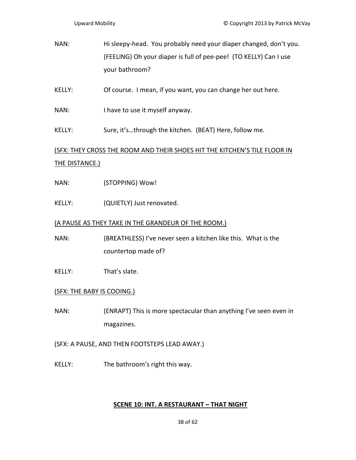NAN: Hi sleepy-head. You probably need your diaper changed, don't you. (FEELING) Oh your diaper is full of pee‐pee! (TO KELLY) Can I use your bathroom?

KELLY: Of course. I mean, if you want, you can change her out here.

NAN: I have to use it myself anyway.

KELLY: Sure, it's...through the kitchen. (BEAT) Here, follow me.

(SFX: THEY CROSS THE ROOM AND THEIR SHOES HIT THE KITCHEN'S TILE FLOOR IN THE DISTANCE.)

NAN: (STOPPING) Wow!

KELLY: (QUIETLY) Just renovated.

## (A PAUSE AS THEY TAKE IN THE GRANDEUR OF THE ROOM.)

NAN: (BREATHLESS) I've never seen a kitchen like this. What is the countertop made of?

KELLY: That's slate.

## (SFX: THE BABY IS COOING.)

NAN: (ENRAPT) This is more spectacular than anything I've seen even in magazines.

(SFX: A PAUSE, AND THEN FOOTSTEPS LEAD AWAY.)

KELLY: The bathroom's right this way.

### **SCENE 10: INT. A RESTAURANT – THAT NIGHT**

38 of 62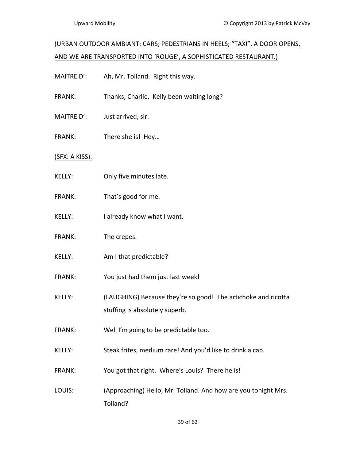# (URBAN OUTDOOR AMBIANT: CARS; PEDESTRIANS IN HEELS; "TAXI". A DOOR OPENS, AND WE ARE TRANSPORTED INTO 'ROUGE', A SOPHISTICATED RESTAURANT.)

- MAITRE D': Ah, Mr. Tolland. Right this way.
- FRANK: Thanks, Charlie. Kelly been waiting long?
- MAITRE D': Just arrived, sir.
- FRANK: There she is! Hey…

(SFX: A KISS).

- KELLY: Only five minutes late.
- FRANK: That's good for me.
- KELLY: I already know what I want.
- FRANK: The crepes.
- KELLY: Am I that predictable?
- FRANK: You just had them just last week!
- KELLY: (LAUGHING) Because they're so good! The artichoke and ricotta stuffing is absolutely superb.
- FRANK: Well I'm going to be predictable too.
- KELLY: Steak frites, medium rare! And you'd like to drink a cab.
- FRANK: You got that right. Where's Louis? There he is!
- LOUIS: (Approaching) Hello, Mr. Tolland. And how are you tonight Mrs. Tolland?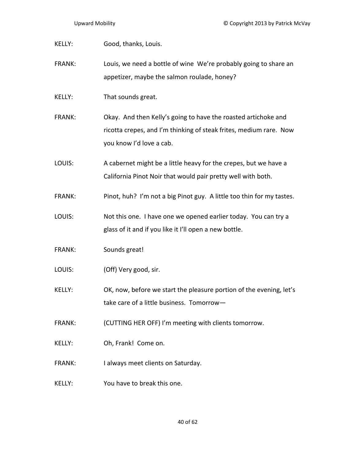| KELLY:        | Good, thanks, Louis.                                                                                                                                             |
|---------------|------------------------------------------------------------------------------------------------------------------------------------------------------------------|
| FRANK:        | Louis, we need a bottle of wine We're probably going to share an<br>appetizer, maybe the salmon roulade, honey?                                                  |
| KELLY:        | That sounds great.                                                                                                                                               |
| <b>FRANK:</b> | Okay. And then Kelly's going to have the roasted artichoke and<br>ricotta crepes, and I'm thinking of steak frites, medium rare. Now<br>you know I'd love a cab. |
| LOUIS:        | A cabernet might be a little heavy for the crepes, but we have a<br>California Pinot Noir that would pair pretty well with both.                                 |
| <b>FRANK:</b> | Pinot, huh? I'm not a big Pinot guy. A little too thin for my tastes.                                                                                            |
| LOUIS:        | Not this one. I have one we opened earlier today. You can try a<br>glass of it and if you like it I'll open a new bottle.                                        |
| FRANK:        | Sounds great!                                                                                                                                                    |
| LOUIS:        | (Off) Very good, sir.                                                                                                                                            |
| KELLY:        | OK, now, before we start the pleasure portion of the evening, let's<br>take care of a little business. Tomorrow-                                                 |
| <b>FRANK:</b> | (CUTTING HER OFF) I'm meeting with clients tomorrow.                                                                                                             |
| KELLY:        | Oh, Frank! Come on.                                                                                                                                              |
| <b>FRANK:</b> | I always meet clients on Saturday.                                                                                                                               |
| <b>KELLY:</b> | You have to break this one.                                                                                                                                      |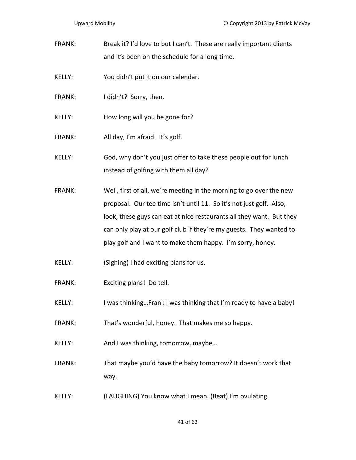- FRANK: Break it? I'd love to but I can't. These are really important clients and it's been on the schedule for a long time.
- KELLY: You didn't put it on our calendar.
- FRANK: I didn't? Sorry, then.
- KELLY: How long will you be gone for?
- FRANK: All day, I'm afraid. It's golf.
- KELLY: God, why don't you just offer to take these people out for lunch instead of golfing with them all day?
- FRANK: Well, first of all, we're meeting in the morning to go over the new proposal. Our tee time isn't until 11. So it's not just golf. Also, look, these guys can eat at nice restaurants all they want. But they can only play at our golf club if they're my guests. They wanted to play golf and I want to make them happy. I'm sorry, honey.
- KELLY: (Sighing) I had exciting plans for us.
- FRANK: Exciting plans! Do tell.
- KELLY: I was thinking…Frank I was thinking that I'm ready to have a baby!
- FRANK: That's wonderful, honey. That makes me so happy.
- KELLY: And I was thinking, tomorrow, maybe...
- FRANK: That maybe you'd have the baby tomorrow? It doesn't work that way.
- KELLY: (LAUGHING) You know what I mean. (Beat) I'm ovulating.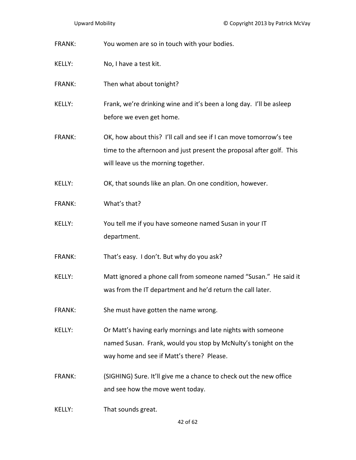| <b>FRANK:</b> | You women are so in touch with your bodies.                                                                                                                                       |
|---------------|-----------------------------------------------------------------------------------------------------------------------------------------------------------------------------------|
| KELLY:        | No, I have a test kit.                                                                                                                                                            |
| <b>FRANK:</b> | Then what about tonight?                                                                                                                                                          |
| KELLY:        | Frank, we're drinking wine and it's been a long day. I'll be asleep<br>before we even get home.                                                                                   |
| <b>FRANK:</b> | OK, how about this? I'll call and see if I can move tomorrow's tee<br>time to the afternoon and just present the proposal after golf. This<br>will leave us the morning together. |
| KELLY:        | OK, that sounds like an plan. On one condition, however.                                                                                                                          |
| <b>FRANK:</b> | What's that?                                                                                                                                                                      |
| KELLY:        | You tell me if you have someone named Susan in your IT<br>department.                                                                                                             |
| FRANK:        | That's easy. I don't. But why do you ask?                                                                                                                                         |
| <b>KELLY:</b> | Matt ignored a phone call from someone named "Susan." He said it<br>was from the IT department and he'd return the call later.                                                    |
| <b>FRANK:</b> | She must have gotten the name wrong.                                                                                                                                              |
| <b>KELLY:</b> | Or Matt's having early mornings and late nights with someone<br>named Susan. Frank, would you stop by McNulty's tonight on the<br>way home and see if Matt's there? Please.       |
| <b>FRANK:</b> | (SIGHING) Sure. It'll give me a chance to check out the new office<br>and see how the move went today.                                                                            |

KELLY: That sounds great.

42 of 62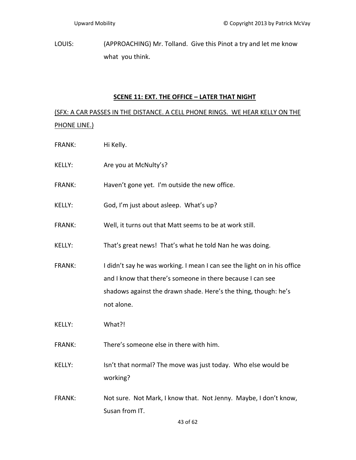LOUIS: (APPROACHING) Mr. Tolland. Give this Pinot a try and let me know what you think.

## **SCENE 11: EXT. THE OFFICE – LATER THAT NIGHT**

(SFX: A CAR PASSES IN THE DISTANCE. A CELL PHONE RINGS. WE HEAR KELLY ON THE PHONE LINE.)

- FRANK: Hi Kelly.
- KELLY: Are you at McNulty's?
- FRANK: Haven't gone yet. I'm outside the new office.
- KELLY: God, I'm just about asleep. What's up?
- FRANK: Well, it turns out that Matt seems to be at work still.

KELLY: That's great news! That's what he told Nan he was doing.

- FRANK: I didn't say he was working. I mean I can see the light on in his office and I know that there's someone in there because I can see shadows against the drawn shade. Here's the thing, though: he's not alone.
- KELLY: What?!
- FRANK: There's someone else in there with him.
- KELLY: Isn't that normal? The move was just today. Who else would be working?
- FRANK: Not sure. Not Mark, I know that. Not Jenny. Maybe, I don't know, Susan from IT.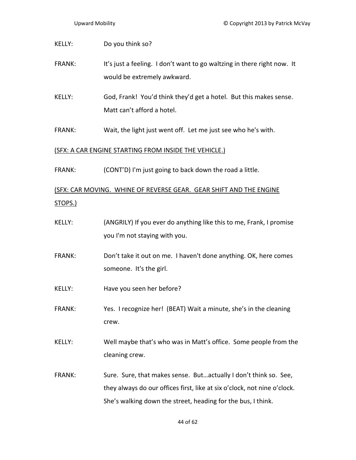| <b>KELLY:</b>  | Do you think so?                                                                                                                             |
|----------------|----------------------------------------------------------------------------------------------------------------------------------------------|
| <b>FRANK:</b>  | It's just a feeling. I don't want to go waltzing in there right now. It<br>would be extremely awkward.                                       |
| <b>KELLY:</b>  | God, Frank! You'd think they'd get a hotel. But this makes sense.<br>Matt can't afford a hotel.                                              |
| <b>FRANK:</b>  | Wait, the light just went off. Let me just see who he's with.                                                                                |
|                | (SFX: A CAR ENGINE STARTING FROM INSIDE THE VEHICLE.)                                                                                        |
| <b>FRANK:</b>  | (CONT'D) I'm just going to back down the road a little.                                                                                      |
| <u>STOPS.)</u> | (SFX: CAR MOVING. WHINE OF REVERSE GEAR. GEAR SHIFT AND THE ENGINE                                                                           |
| KELLY:         | (ANGRILY) If you ever do anything like this to me, Frank, I promise<br>you I'm not staying with you.                                         |
| <b>FRANK:</b>  | Don't take it out on me. I haven't done anything. OK, here comes<br>someone. It's the girl.                                                  |
| <b>KELLY:</b>  | Have you seen her before?                                                                                                                    |
| <b>FRANK:</b>  | Yes. I recognize her! (BEAT) Wait a minute, she's in the cleaning<br>crew.                                                                   |
| KELLY:         | Well maybe that's who was in Matt's office. Some people from the<br>cleaning crew.                                                           |
| <b>FRANK:</b>  | Sure. Sure, that makes sense. Butactually I don't think so. See,<br>they always do our offices first, like at six o'clock, not nine o'clock. |

She's walking down the street, heading for the bus, I think.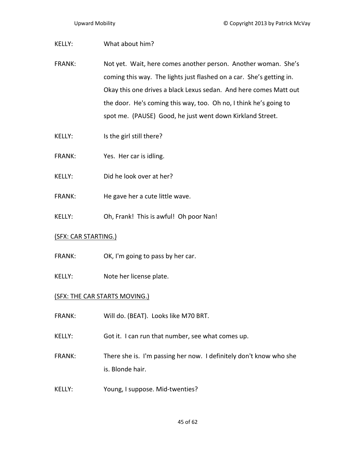| KELLY:        | What about him?                                                                                                                                                                                                                                                                                                                               |
|---------------|-----------------------------------------------------------------------------------------------------------------------------------------------------------------------------------------------------------------------------------------------------------------------------------------------------------------------------------------------|
| <b>FRANK:</b> | Not yet. Wait, here comes another person. Another woman. She's<br>coming this way. The lights just flashed on a car. She's getting in.<br>Okay this one drives a black Lexus sedan. And here comes Matt out<br>the door. He's coming this way, too. Oh no, I think he's going to<br>spot me. (PAUSE) Good, he just went down Kirkland Street. |
| KELLY:        | Is the girl still there?                                                                                                                                                                                                                                                                                                                      |
| <b>FRANK:</b> | Yes. Her car is idling.                                                                                                                                                                                                                                                                                                                       |

- KELLY: Did he look over at her?
- FRANK: He gave her a cute little wave.
- KELLY: Oh, Frank! This is awful! Oh poor Nan!

## (SFX: CAR STARTING.)

- FRANK: OK, I'm going to pass by her car.
- KELLY: Note her license plate.

## (SFX: THE CAR STARTS MOVING.)

- FRANK: Will do. (BEAT). Looks like M70 BRT.
- KELLY: Got it. I can run that number, see what comes up.
- FRANK: There she is. I'm passing her now. I definitely don't know who she is. Blonde hair.
- KELLY: Young, I suppose. Mid-twenties?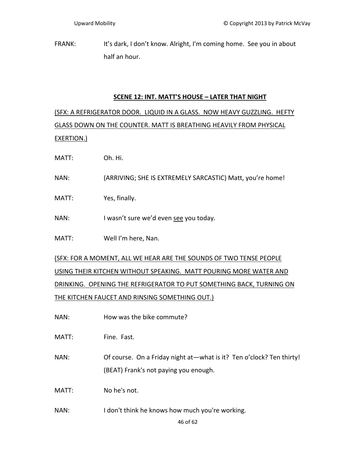FRANK: It's dark, I don't know. Alright, I'm coming home. See you in about half an hour.

## **SCENE 12: INT. MATT'S HOUSE – LATER THAT NIGHT**

(SFX: A REFRIGERATOR DOOR. LIQUID IN A GLASS. NOW HEAVY GUZZLING. HEFTY GLASS DOWN ON THE COUNTER. MATT IS BREATHING HEAVILY FROM PHYSICAL EXERTION.)

MATT: Oh. Hi.

- NAN: (ARRIVING; SHE IS EXTREMELY SARCASTIC) Matt, you're home!
- MATT: Yes, finally.
- NAN: I wasn't sure we'd even see you today.
- MATT: Well I'm here, Nan.

(SFX: FOR A MOMENT, ALL WE HEAR ARE THE SOUNDS OF TWO TENSE PEOPLE USING THEIR KITCHEN WITHOUT SPEAKING. MATT POURING MORE WATER AND DRINKING. OPENING THE REFRIGERATOR TO PUT SOMETHING BACK, TURNING ON THE KITCHEN FAUCET AND RINSING SOMETHING OUT.)

NAN: How was the bike commute?

MATT: Fine. Fast.

NAN: Of course. On a Friday night at—what is it? Ten o'clock? Ten thirty! (BEAT) Frank's not paying you enough.

MATT: No he's not.

NAN: I don't think he knows how much you're working.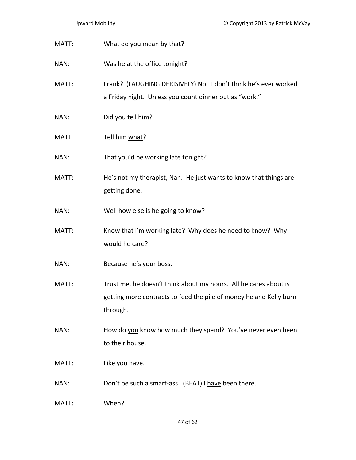| MATT:       | What do you mean by that?                                                                                                                          |
|-------------|----------------------------------------------------------------------------------------------------------------------------------------------------|
| NAN:        | Was he at the office tonight?                                                                                                                      |
| MATT:       | Frank? (LAUGHING DERISIVELY) No. I don't think he's ever worked<br>a Friday night. Unless you count dinner out as "work."                          |
| NAN:        | Did you tell him?                                                                                                                                  |
| <b>MATT</b> | Tell him what?                                                                                                                                     |
| NAN:        | That you'd be working late tonight?                                                                                                                |
| MATT:       | He's not my therapist, Nan. He just wants to know that things are<br>getting done.                                                                 |
| NAN:        | Well how else is he going to know?                                                                                                                 |
| MATT:       | Know that I'm working late? Why does he need to know? Why<br>would he care?                                                                        |
| NAN:        | Because he's your boss.                                                                                                                            |
| MATT:       | Trust me, he doesn't think about my hours. All he cares about is<br>getting more contracts to feed the pile of money he and Kelly burn<br>through. |
| NAN:        | How do you know how much they spend? You've never even been<br>to their house.                                                                     |
| MATT:       | Like you have.                                                                                                                                     |
| NAN:        | Don't be such a smart-ass. (BEAT) I have been there.                                                                                               |
| MATT:       | When?                                                                                                                                              |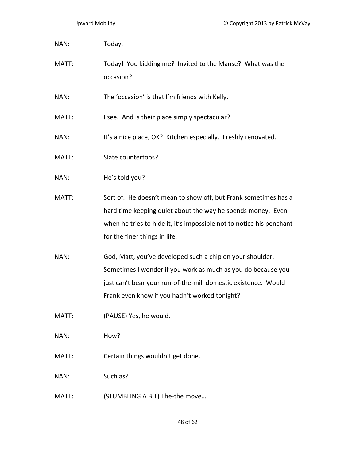| NAN:  | Today.                                                                                                                                                                                                                                       |
|-------|----------------------------------------------------------------------------------------------------------------------------------------------------------------------------------------------------------------------------------------------|
| MATT: | Today! You kidding me? Invited to the Manse? What was the<br>occasion?                                                                                                                                                                       |
| NAN:  | The 'occasion' is that I'm friends with Kelly.                                                                                                                                                                                               |
| MATT: | I see. And is their place simply spectacular?                                                                                                                                                                                                |
| NAN:  | It's a nice place, OK? Kitchen especially. Freshly renovated.                                                                                                                                                                                |
| MATT: | Slate countertops?                                                                                                                                                                                                                           |
| NAN:  | He's told you?                                                                                                                                                                                                                               |
| MATT: | Sort of. He doesn't mean to show off, but Frank sometimes has a<br>hard time keeping quiet about the way he spends money. Even<br>when he tries to hide it, it's impossible not to notice his penchant<br>for the finer things in life.      |
| NAN:  | God, Matt, you've developed such a chip on your shoulder.<br>Sometimes I wonder if you work as much as you do because you<br>just can't bear your run-of-the-mill domestic existence. Would<br>Frank even know if you hadn't worked tonight? |
| MATT: | (PAUSE) Yes, he would.                                                                                                                                                                                                                       |
| NAN:  | How?                                                                                                                                                                                                                                         |
| MATT: | Certain things wouldn't get done.                                                                                                                                                                                                            |
| NAN:  | Such as?                                                                                                                                                                                                                                     |
| MATT: | (STUMBLING A BIT) The-the move                                                                                                                                                                                                               |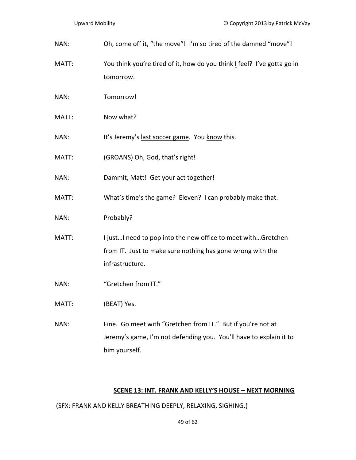| NAN:  | Oh, come off it, "the move"! I'm so tired of the damned "move"!                                                                                    |
|-------|----------------------------------------------------------------------------------------------------------------------------------------------------|
| MATT: | You think you're tired of it, how do you think I feel? I've gotta go in<br>tomorrow.                                                               |
| NAN:  | Tomorrow!                                                                                                                                          |
| MATT: | Now what?                                                                                                                                          |
| NAN:  | It's Jeremy's last soccer game. You know this.                                                                                                     |
| MATT: | (GROANS) Oh, God, that's right!                                                                                                                    |
| NAN:  | Dammit, Matt! Get your act together!                                                                                                               |
| MATT: | What's time's the game? Eleven? I can probably make that.                                                                                          |
| NAN:  | Probably?                                                                                                                                          |
| MATT: | I justI need to pop into the new office to meet withGretchen<br>from IT. Just to make sure nothing has gone wrong with the<br>infrastructure.      |
| NAN:  | "Gretchen from IT."                                                                                                                                |
| MATT: | (BEAT) Yes.                                                                                                                                        |
| NAN:  | Fine. Go meet with "Gretchen from IT." But if you're not at<br>Jeremy's game, I'm not defending you. You'll have to explain it to<br>him yourself. |

# **SCENE 13: INT. FRANK AND KELLY'S HOUSE – NEXT MORNING**

## (SFX: FRANK AND KELLY BREATHING DEEPLY, RELAXING, SIGHING.)

49 of 62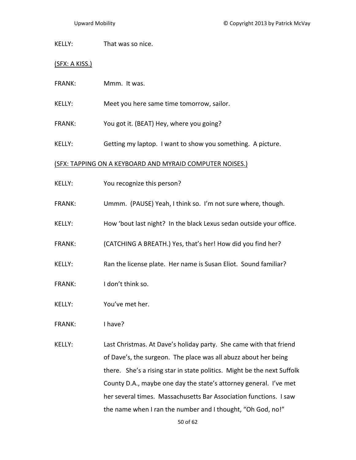KELLY: That was so nice.

(SFX: A KISS.)

- FRANK: Mmm. It was.
- KELLY: Meet you here same time tomorrow, sailor.
- FRANK: You got it. (BEAT) Hey, where you going?
- KELLY: Getting my laptop. I want to show you something. A picture.

#### (SFX: TAPPING ON A KEYBOARD AND MYRAID COMPUTER NOISES.)

- KELLY: You recognize this person?
- FRANK: Ummm. (PAUSE) Yeah, I think so. I'm not sure where, though.
- KELLY: How 'bout last night? In the black Lexus sedan outside your office.
- FRANK: (CATCHING A BREATH.) Yes, that's her! How did you find her?
- KELLY: Ran the license plate. Her name is Susan Eliot. Sound familiar?
- FRANK: I don't think so.
- KELLY: You've met her.
- FRANK: I have?
- KELLY: Last Christmas. At Dave's holiday party. She came with that friend of Dave's, the surgeon. The place was all abuzz about her being there. She's a rising star in state politics. Might be the next Suffolk County D.A., maybe one day the state's attorney general. I've met her several times. Massachusetts Bar Association functions. I saw the name when I ran the number and I thought, "Oh God, no!"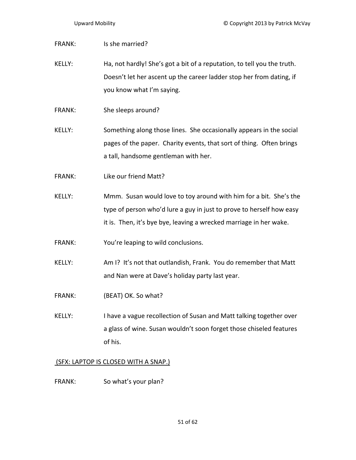| <b>FRANK:</b> | Is she married?                                                                                                                                                                                                 |
|---------------|-----------------------------------------------------------------------------------------------------------------------------------------------------------------------------------------------------------------|
| <b>KELLY:</b> | Ha, not hardly! She's got a bit of a reputation, to tell you the truth.<br>Doesn't let her ascent up the career ladder stop her from dating, if<br>you know what I'm saying.                                    |
| <b>FRANK:</b> | She sleeps around?                                                                                                                                                                                              |
| <b>KELLY:</b> | Something along those lines. She occasionally appears in the social<br>pages of the paper. Charity events, that sort of thing. Often brings<br>a tall, handsome gentleman with her.                             |
| <b>FRANK:</b> | Like our friend Matt?                                                                                                                                                                                           |
| <b>KELLY:</b> | Mmm. Susan would love to toy around with him for a bit. She's the<br>type of person who'd lure a guy in just to prove to herself how easy<br>it is. Then, it's bye bye, leaving a wrecked marriage in her wake. |
| FRANK:        | You're leaping to wild conclusions.                                                                                                                                                                             |
| <b>KELLY:</b> | Am I? It's not that outlandish, Frank. You do remember that Matt<br>and Nan were at Dave's holiday party last year.                                                                                             |
| <b>FRANK:</b> | (BEAT) OK. So what?                                                                                                                                                                                             |
| KELLY:        | I have a vague recollection of Susan and Matt talking together over<br>a glass of wine. Susan wouldn't soon forget those chiseled features<br>of his.                                                           |
|               | (SFX: LAPTOP IS CLOSED WITH A SNAP.)                                                                                                                                                                            |

FRANK: So what's your plan?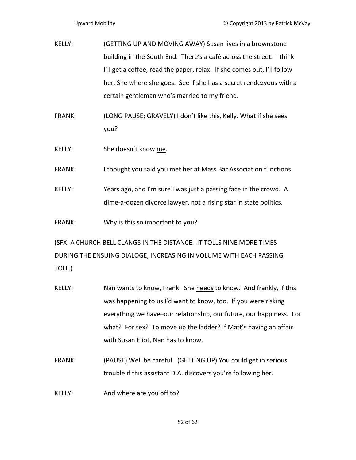- KELLY: (GETTING UP AND MOVING AWAY) Susan lives in a brownstone building in the South End. There's a café across the street. I think I'll get a coffee, read the paper, relax. If she comes out, I'll follow her. She where she goes. See if she has a secret rendezvous with a certain gentleman who's married to my friend.
- FRANK: (LONG PAUSE; GRAVELY) I don't like this, Kelly. What if she sees you?
- KELLY: She doesn't know me.
- FRANK: I thought you said you met her at Mass Bar Association functions.
- KELLY: Years ago, and I'm sure I was just a passing face in the crowd. A dime‐a‐dozen divorce lawyer, not a rising star in state politics.
- FRANK: Why is this so important to you?

# (SFX: A CHURCH BELL CLANGS IN THE DISTANCE. IT TOLLS NINE MORE TIMES DURING THE ENSUING DIALOGE, INCREASING IN VOLUME WITH EACH PASSING

- TOLL.)
- KELLY: Nan wants to know, Frank. She needs to know. And frankly, if this was happening to us I'd want to know, too. If you were risking everything we have–our relationship, our future, our happiness. For what? For sex? To move up the ladder? If Matt's having an affair with Susan Eliot, Nan has to know.
- FRANK: (PAUSE) Well be careful. (GETTING UP) You could get in serious trouble if this assistant D.A. discovers you're following her.
- KELLY: And where are you off to?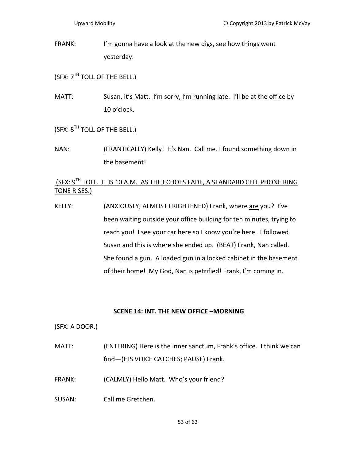FRANK: I'm gonna have a look at the new digs, see how things went yesterday.

# $(SFX: 7<sup>TH</sup> TOLL OF THE BELL.)$

MATT: Susan, it's Matt. I'm sorry, I'm running late. I'll be at the office by 10 o'clock.

# (SFX: 8<sup>TH</sup> TOLL OF THE BELL.)

NAN: (FRANTICALLY) Kelly! It's Nan. Call me. I found something down in the basement!

# (SFX: 9<sup>TH</sup> TOLL. IT IS 10 A.M. AS THE ECHOES FADE, A STANDARD CELL PHONE RING TONE RISES.)

KELLY: (ANXIOUSLY; ALMOST FRIGHTENED) Frank, where are you? I've been waiting outside your office building for ten minutes, trying to reach you! I see your car here so I know you're here. I followed Susan and this is where she ended up. (BEAT) Frank, Nan called. She found a gun. A loaded gun in a locked cabinet in the basement of their home! My God, Nan is petrified! Frank, I'm coming in.

# **SCENE 14: INT. THE NEW OFFICE –MORNING**

## (SFX: A DOOR.)

- MATT: (ENTERING) Here is the inner sanctum, Frank's office. I think we can find—(HIS VOICE CATCHES; PAUSE) Frank.
- FRANK: (CALMLY) Hello Matt. Who's your friend?
- SUSAN: Call me Gretchen.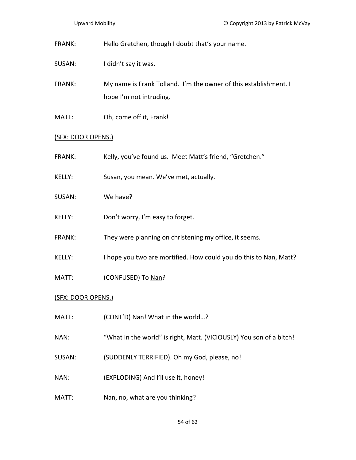- FRANK: Hello Gretchen, though I doubt that's your name.
- SUSAN: I didn't say it was.
- FRANK: My name is Frank Tolland. I'm the owner of this establishment. I hope I'm not intruding.
- MATT: Oh, come off it, Frank!

## (SFX: DOOR OPENS.)

- FRANK: Kelly, you've found us. Meet Matt's friend, "Gretchen."
- KELLY: Susan, you mean. We've met, actually.
- SUSAN: We have?
- KELLY: Don't worry, I'm easy to forget.
- FRANK: They were planning on christening my office, it seems.
- KELLY: I hope you two are mortified. How could you do this to Nan, Matt?
- MATT: (CONFUSED) To Nan?

## (SFX: DOOR OPENS.)

- MATT: (CONT'D) Nan! What in the world...?
- NAN: "What in the world" is right, Matt. (VICIOUSLY) You son of a bitch!
- SUSAN: (SUDDENLY TERRIFIED). Oh my God, please, no!
- NAN: (EXPLODING) And I'll use it, honey!
- MATT: Nan, no, what are you thinking?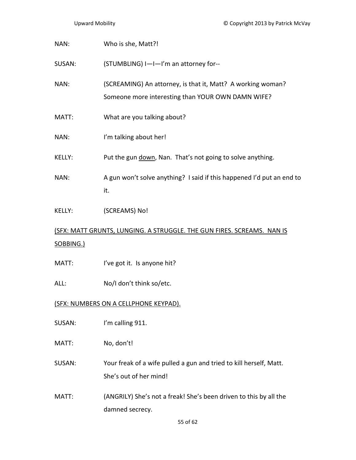| NAN:                                                                                | Who is she, Matt?!                                                                                               |
|-------------------------------------------------------------------------------------|------------------------------------------------------------------------------------------------------------------|
| SUSAN:                                                                              | (STUMBLING) I-I-I'm an attorney for--                                                                            |
| NAN:                                                                                | (SCREAMING) An attorney, is that it, Matt? A working woman?<br>Someone more interesting than YOUR OWN DAMN WIFE? |
| MATT:                                                                               | What are you talking about?                                                                                      |
| NAN:                                                                                | I'm talking about her!                                                                                           |
| KELLY:                                                                              | Put the gun down, Nan. That's not going to solve anything.                                                       |
| NAN:                                                                                | A gun won't solve anything? I said if this happened I'd put an end to<br>it.                                     |
| KELLY:                                                                              | (SCREAMS) No!                                                                                                    |
| (SFX: MATT GRUNTS, LUNGING. A STRUGGLE. THE GUN FIRES. SCREAMS. NAN IS<br>SOBBING.) |                                                                                                                  |
| MATT:                                                                               | I've got it. Is anyone hit?                                                                                      |
| ALL:                                                                                | No/I don't think so/etc.                                                                                         |
| <u>(SFX: NUMBERS ON A CELLPHONE KEYPAD).</u>                                        |                                                                                                                  |
| SUSAN:                                                                              | I'm calling 911.                                                                                                 |
| MATT:                                                                               | No, don't!                                                                                                       |
| SUSAN:                                                                              | Your freak of a wife pulled a gun and tried to kill herself, Matt.                                               |

She's out of her mind!

MATT: (ANGRILY) She's not a freak! She's been driven to this by all the damned secrecy.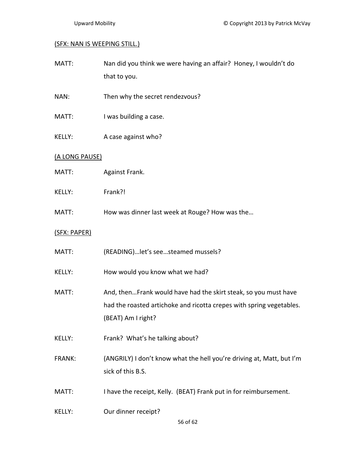### (SFX: NAN IS WEEPING STILL.)

| MATT: | Nan did you think we were having an affair? Honey, I wouldn't do |
|-------|------------------------------------------------------------------|
|       | that to you.                                                     |

- NAN: Then why the secret rendezvous?
- MATT: I was building a case.
- KELLY: A case against who?

### (A LONG PAUSE)

- MATT: Against Frank.
- KELLY: Frank?!
- MATT: How was dinner last week at Rouge? How was the...

### (SFX: PAPER)

- MATT: (READING)... let's see... steamed mussels?
- KELLY: How would you know what we had?
- MATT: And, then...Frank would have had the skirt steak, so you must have had the roasted artichoke and ricotta crepes with spring vegetables. (BEAT) Am I right?
- KELLY: Frank? What's he talking about?
- FRANK: (ANGRILY) I don't know what the hell you're driving at, Matt, but I'm sick of this B.S.
- MATT: I have the receipt, Kelly. (BEAT) Frank put in for reimbursement.
- KELLY: Our dinner receipt?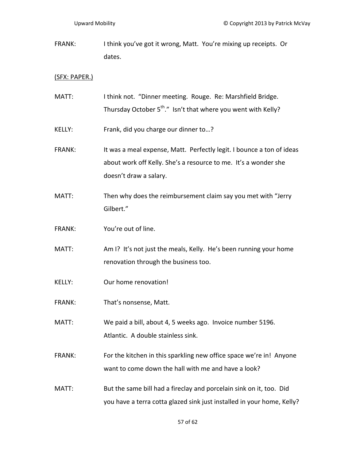FRANK: I think you've got it wrong, Matt. You're mixing up receipts. Or dates.

### (SFX: PAPER.)

MATT: I think not. "Dinner meeting. Rouge. Re: Marshfield Bridge. Thursday October  $5^{th}$ ." Isn't that where you went with Kelly? KELLY: Frank, did you charge our dinner to...? FRANK: It was a meal expense, Matt. Perfectly legit. I bounce a ton of ideas about work off Kelly. She's a resource to me. It's a wonder she doesn't draw a salary. MATT: Then why does the reimbursement claim say you met with "Jerry Gilbert." FRANK: You're out of line. MATT: Am I? It's not just the meals, Kelly. He's been running your home renovation through the business too. KELLY: Our home renovation! FRANK: That's nonsense, Matt. MATT: We paid a bill, about 4, 5 weeks ago. Invoice number 5196. Atlantic. A double stainless sink. FRANK: For the kitchen in this sparkling new office space we're in! Anyone want to come down the hall with me and have a look? MATT: But the same bill had a fireclay and porcelain sink on it, too. Did you have a terra cotta glazed sink just installed in your home, Kelly?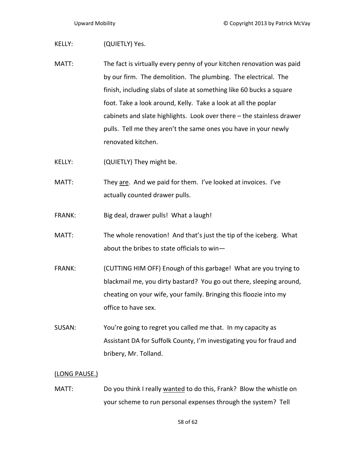#### KELLY: (QUIETLY) Yes.

- MATT: The fact is virtually every penny of your kitchen renovation was paid by our firm. The demolition. The plumbing. The electrical. The finish, including slabs of slate at something like 60 bucks a square foot. Take a look around, Kelly. Take a look at all the poplar cabinets and slate highlights. Look over there – the stainless drawer pulls. Tell me they aren't the same ones you have in your newly renovated kitchen.
- KELLY: (QUIETLY) They might be.
- MATT: They are. And we paid for them. I've looked at invoices. I've actually counted drawer pulls.
- FRANK: Big deal, drawer pulls! What a laugh!
- MATT: The whole renovation! And that's just the tip of the iceberg. What about the bribes to state officials to win—
- FRANK: (CUTTING HIM OFF) Enough of this garbage! What are you trying to blackmail me, you dirty bastard? You go out there, sleeping around, cheating on your wife, your family. Bringing this floozie into my office to have sex.
- SUSAN: You're going to regret you called me that. In my capacity as Assistant DA for Suffolk County, I'm investigating you for fraud and bribery, Mr. Tolland.

#### (LONG PAUSE.)

MATT: Do you think I really wanted to do this, Frank? Blow the whistle on your scheme to run personal expenses through the system? Tell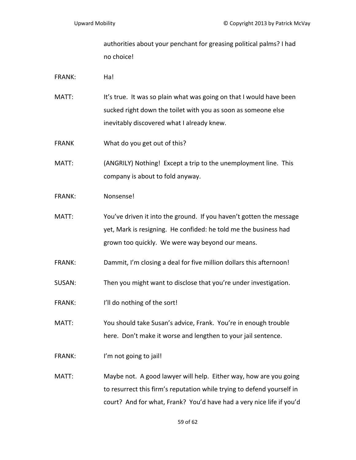authorities about your penchant for greasing political palms? I had no choice!

FRANK: Ha!

- MATT: It's true. It was so plain what was going on that I would have been sucked right down the toilet with you as soon as someone else inevitably discovered what I already knew.
- FRANK What do you get out of this?
- MATT: (ANGRILY) Nothing! Except a trip to the unemployment line. This company is about to fold anyway.
- FRANK: Nonsense!
- MATT: You've driven it into the ground. If you haven't gotten the message yet, Mark is resigning. He confided: he told me the business had grown too quickly. We were way beyond our means.
- FRANK: Dammit, I'm closing a deal for five million dollars this afternoon!
- SUSAN: Then you might want to disclose that you're under investigation.
- FRANK: I'll do nothing of the sort!
- MATT: You should take Susan's advice, Frank. You're in enough trouble here. Don't make it worse and lengthen to your jail sentence.
- FRANK: I'm not going to jail!
- MATT: Maybe not. A good lawyer will help. Either way, how are you going to resurrect this firm's reputation while trying to defend yourself in court? And for what, Frank? You'd have had a very nice life if you'd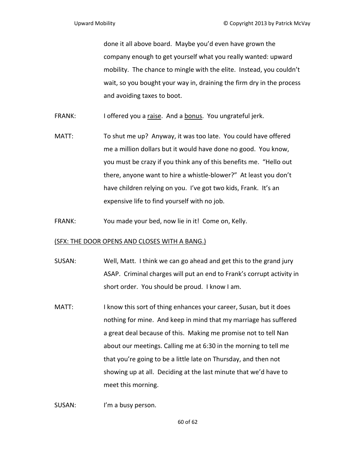done it all above board. Maybe you'd even have grown the company enough to get yourself what you really wanted: upward mobility. The chance to mingle with the elite. Instead, you couldn't wait, so you bought your way in, draining the firm dry in the process and avoiding taxes to boot.

- FRANK: I offered you a raise. And a bonus. You ungrateful jerk.
- MATT: To shut me up? Anyway, it was too late. You could have offered me a million dollars but it would have done no good. You know, you must be crazy if you think any of this benefits me. "Hello out there, anyone want to hire a whistle‐blower?" At least you don't have children relying on you. I've got two kids, Frank. It's an expensive life to find yourself with no job.
- FRANK: You made your bed, now lie in it! Come on, Kelly.

### (SFX: THE DOOR OPENS AND CLOSES WITH A BANG.)

- SUSAN: Well, Matt. I think we can go ahead and get this to the grand jury ASAP. Criminal charges will put an end to Frank's corrupt activity in short order. You should be proud. I know I am.
- MATT: I know this sort of thing enhances your career, Susan, but it does nothing for mine. And keep in mind that my marriage has suffered a great deal because of this. Making me promise not to tell Nan about our meetings. Calling me at 6:30 in the morning to tell me that you're going to be a little late on Thursday, and then not showing up at all. Deciding at the last minute that we'd have to meet this morning.
- SUSAN: I'm a busy person.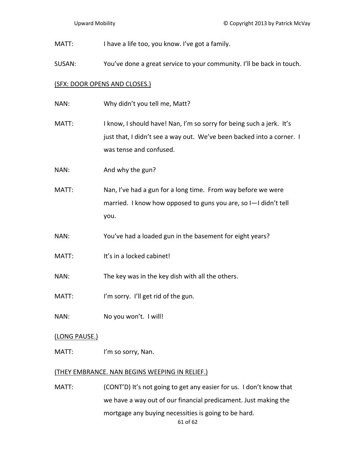MATT: I have a life too, you know. I've got a family.

SUSAN: You've done a great service to your community. I'll be back in touch.

### (SFX: DOOR OPENS AND CLOSES.)

- NAN: Why didn't you tell me, Matt?
- MATT: I know, I should have! Nan, I'm so sorry for being such a jerk. It's just that, I didn't see a way out. We've been backed into a corner. I was tense and confused.
- NAN: And why the gun?
- MATT: Nan, I've had a gun for a long time. From way before we were married. I know how opposed to guns you are, so I—I didn't tell you.
- NAN: You've had a loaded gun in the basement for eight years?
- MATT: It's in a locked cabinet!
- NAN: The key was in the key dish with all the others.
- MATT: I'm sorry. I'll get rid of the gun.
- NAN: No you won't. I will!

### (LONG PAUSE.)

MATT: I'm so sorry, Nan.

### (THEY EMBRANCE. NAN BEGINS WEEPING IN RELIEF.)

61 of 62 MATT: (CONT'D) It's not going to get any easier for us. I don't know that we have a way out of our financial predicament. Just making the mortgage any buying necessities is going to be hard.